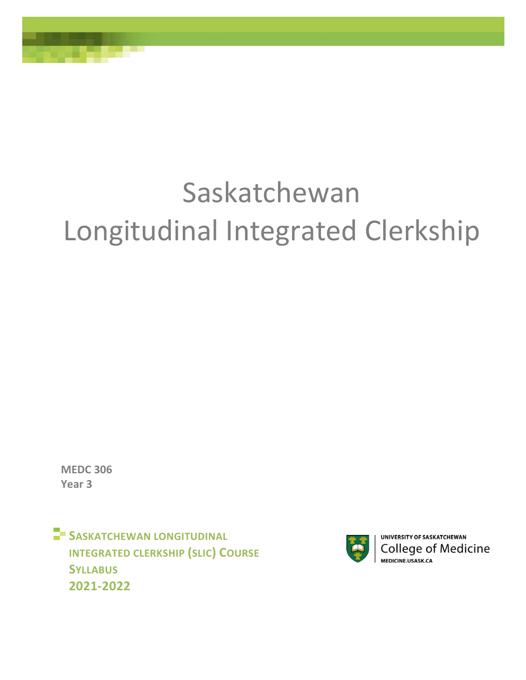# Saskatchewan Longitudinal Integrated Clerkship

**MEDC 306 Year 3** 

**SASKATCHEWAN LONGITUDINAL INTEGRATED CLERKSHIP (SLIC) COURSE SYLLABUS 2021-2022** 



UNIVERSITY OF SASKATCHEWAN **College of Medicine MEDICINE USASK CA**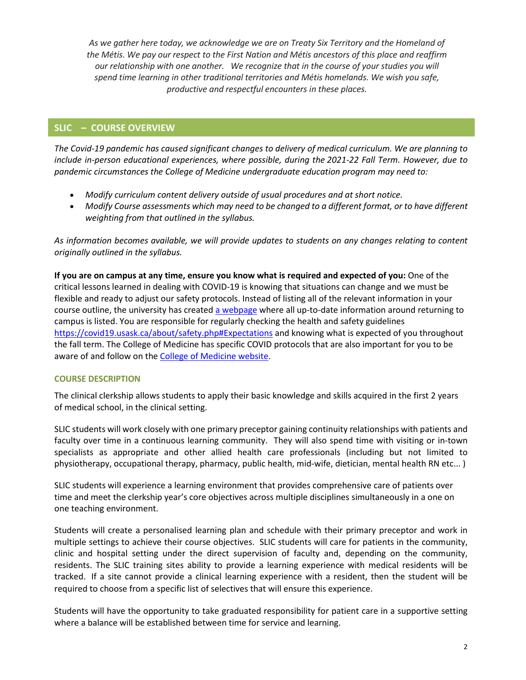*As we gather here today, we acknowledge we are on Treaty Six Territory and the Homeland of the Métis. We pay our respect to the First Nation and Métis ancestors of this place and reaffirm our relationship with one another. We recognize that in the course of your studies you will spend time learning in other traditional territories and Métis homelands. We wish you safe, productive and respectful encounters in these places.*

# **SLIC – COURSE OVERVIEW**

*The Covid-19 pandemic has caused significant changes to delivery of medical curriculum. We are planning to include in-person educational experiences, where possible, during the 2021-22 Fall Term. However, due to pandemic circumstances the College of Medicine undergraduate education program may need to:* 

- *Modify curriculum content delivery outside of usual procedures and at short notice.*
- *Modify Course assessments which may need to be changed to a different format, or to have different weighting from that outlined in the syllabus.*

*As information becomes available, we will provide updates to students on any changes relating to content originally outlined in the syllabus.* 

**If you are on campus at any time, ensure you know what is required and expected of you:** One of the critical lessons learned in dealing with COVID-19 is knowing that situations can change and we must be flexible and ready to adjust our safety protocols. Instead of listing all of the relevant information in your course outline, the university has create[d a webpage w](https://covid19.usask.ca/students.php#Oncampusessentials)here all up-to-date information around returning to campus is listed. You are responsible for regularly checking the health and safety guidelines <https://covid19.usask.ca/about/safety.php#Expectations>and knowing what is expected of you throughout the fall term. The College of Medicine has specific COVID protocols that are also important for you to be aware of and follow on the **College of Medicine website.** 

## **COURSE DESCRIPTION**

The clinical clerkship allows students to apply their basic knowledge and skills acquired in the first 2 years of medical school, in the clinical setting.

SLIC students will work closely with one primary preceptor gaining continuity relationships with patients and faculty over time in a continuous learning community. They will also spend time with visiting or in-town specialists as appropriate and other allied health care professionals (including but not limited to physiotherapy, occupational therapy, pharmacy, public health, mid-wife, dietician, mental health RN etc... )

SLIC students will experience a learning environment that provides comprehensive care of patients over time and meet the clerkship year's core objectives across multiple disciplines simultaneously in a one on one teaching environment.

Students will create a personalised learning plan and schedule with their primary preceptor and work in multiple settings to achieve their course objectives. SLIC students will care for patients in the community, clinic and hospital setting under the direct supervision of faculty and, depending on the community, residents. The SLIC training sites ability to provide a learning experience with medical residents will be tracked. If a site cannot provide a clinical learning experience with a resident, then the student will be required to choose from a specific list of selectives that will ensure this experience.

Students will have the opportunity to take graduated responsibility for patient care in a supportive setting where a balance will be established between time for service and learning.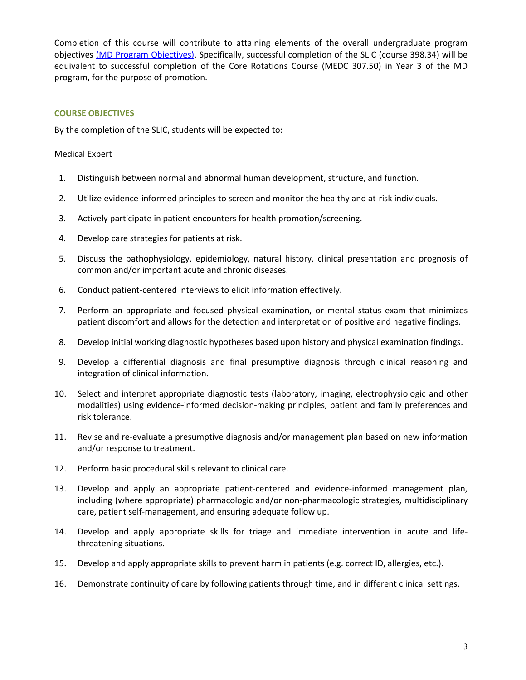Completion of this course will contribute to attaining elements of the overall undergraduate program objectives [\(MD Program Objectives\).](http://medicine.usask.ca/students/undergraduate/curriculum-schedules-objectives.php#ProgramobjectivesCurrent201617) Specifically, successful completion of the SLIC (course 398.34) will be equivalent to successful completion of the Core Rotations Course (MEDC 307.50) in Year 3 of the MD program, for the purpose of promotion.

# **COURSE OBJECTIVES**

By the completion of the SLIC, students will be expected to:

## Medical Expert

- 1. Distinguish between normal and abnormal human development, structure, and function.
- 2. Utilize evidence-informed principles to screen and monitor the healthy and at-risk individuals.
- 3. Actively participate in patient encounters for health promotion/screening.
- 4. Develop care strategies for patients at risk.
- 5. Discuss the pathophysiology, epidemiology, natural history, clinical presentation and prognosis of common and/or important acute and chronic diseases.
- 6. Conduct patient-centered interviews to elicit information effectively.
- 7. Perform an appropriate and focused physical examination, or mental status exam that minimizes patient discomfort and allows for the detection and interpretation of positive and negative findings.
- 8. Develop initial working diagnostic hypotheses based upon history and physical examination findings.
- 9. Develop a differential diagnosis and final presumptive diagnosis through clinical reasoning and integration of clinical information.
- 10. Select and interpret appropriate diagnostic tests (laboratory, imaging, electrophysiologic and other modalities) using evidence-informed decision-making principles, patient and family preferences and risk tolerance.
- 11. Revise and re-evaluate a presumptive diagnosis and/or management plan based on new information and/or response to treatment.
- 12. Perform basic procedural skills relevant to clinical care.
- 13. Develop and apply an appropriate patient-centered and evidence-informed management plan, including (where appropriate) pharmacologic and/or non-pharmacologic strategies, multidisciplinary care, patient self-management, and ensuring adequate follow up.
- 14. Develop and apply appropriate skills for triage and immediate intervention in acute and lifethreatening situations.
- 15. Develop and apply appropriate skills to prevent harm in patients (e.g. correct ID, allergies, etc.).
- 16. Demonstrate continuity of care by following patients through time, and in different clinical settings.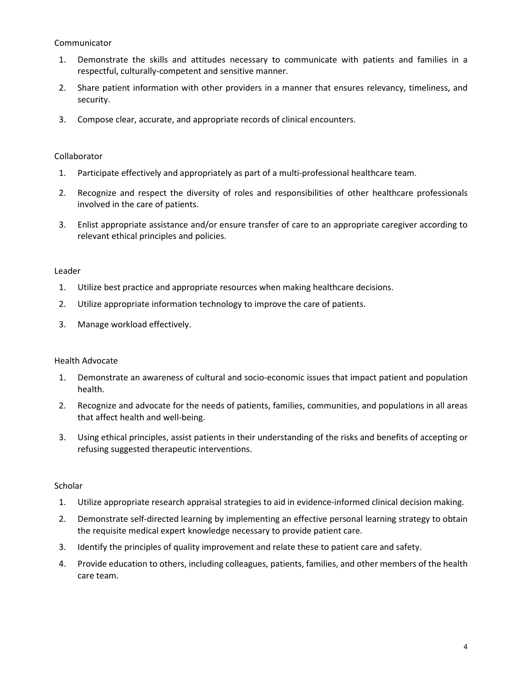## Communicator

- 1. Demonstrate the skills and attitudes necessary to communicate with patients and families in a respectful, culturally-competent and sensitive manner.
- 2. Share patient information with other providers in a manner that ensures relevancy, timeliness, and security.
- 3. Compose clear, accurate, and appropriate records of clinical encounters.

# Collaborator

- 1. Participate effectively and appropriately as part of a multi-professional healthcare team.
- 2. Recognize and respect the diversity of roles and responsibilities of other healthcare professionals involved in the care of patients.
- 3. Enlist appropriate assistance and/or ensure transfer of care to an appropriate caregiver according to relevant ethical principles and policies.

## Leader

- 1. Utilize best practice and appropriate resources when making healthcare decisions.
- 2. Utilize appropriate information technology to improve the care of patients.
- 3. Manage workload effectively.

## Health Advocate

- 1. Demonstrate an awareness of cultural and socio-economic issues that impact patient and population health.
- 2. Recognize and advocate for the needs of patients, families, communities, and populations in all areas that affect health and well-being.
- 3. Using ethical principles, assist patients in their understanding of the risks and benefits of accepting or refusing suggested therapeutic interventions.

## **Scholar**

- 1. Utilize appropriate research appraisal strategies to aid in evidence-informed clinical decision making.
- 2. Demonstrate self-directed learning by implementing an effective personal learning strategy to obtain the requisite medical expert knowledge necessary to provide patient care.
- 3. Identify the principles of quality improvement and relate these to patient care and safety.
- 4. Provide education to others, including colleagues, patients, families, and other members of the health care team.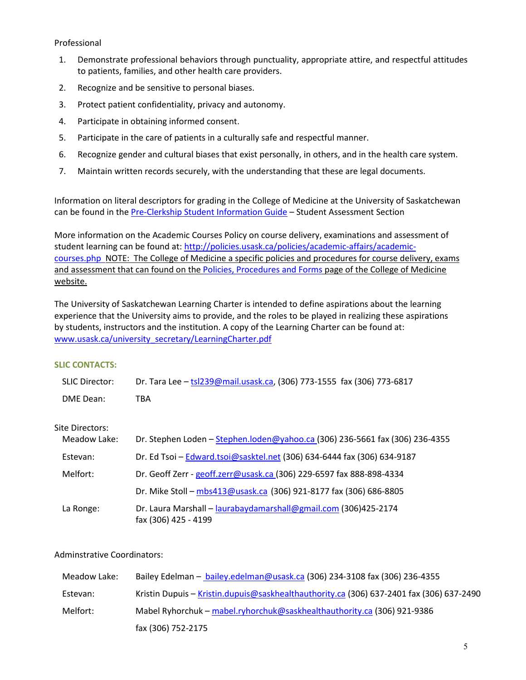## Professional

- 1. Demonstrate professional behaviors through punctuality, appropriate attire, and respectful attitudes to patients, families, and other health care providers.
- 2. Recognize and be sensitive to personal biases.
- 3. Protect patient confidentiality, privacy and autonomy.
- 4. Participate in obtaining informed consent.
- 5. Participate in the care of patients in a culturally safe and respectful manner.
- 6. Recognize gender and cultural biases that exist personally, in others, and in the health care system.
- 7. Maintain written records securely, with the understanding that these are legal documents.

Information on literal descriptors for grading in the College of Medicine at the University of Saskatchewan can be found in th[e Pre-Clerkship Student Information Guide](https://medicine.usask.ca/documents/ugme/syllabi/student-guide-to-pre-clerkship.pdf) - Student Assessment Section

More information on the Academic Courses Policy on course delivery, examinations and assessment of student learning can be found at: [http://policies.usask.ca/policies/academic-affairs/academic](http://policies.usask.ca/policies/academic-affairs/academic-courses.php)[courses.php](http://policies.usask.ca/policies/academic-affairs/academic-courses.php) NOTE: The College of Medicine a specific policies and procedures for course delivery, exams and assessment that can found on the [Policies, Procedures and Forms p](https://medicine.usask.ca/students/undergraduate/policies.php)age of the College of Medicine website.

The University of Saskatchewan Learning Charter is intended to define aspirations about the learning experience that the University aims to provide, and the roles to be played in realizing these aspirations by students, instructors and the institution. A copy of the Learning Charter can be found at: [www.usask.ca/university\\_secretary/LearningCharter.pdf](http://www.usask.ca/university_secretary/LearningCharter.pdf)

## **SLIC CONTACTS:**

| <b>SLIC Director:</b> | Dr. Tara Lee - tsl239@mail.usask.ca, (306) 773-1555 fax (306) 773-6817                  |
|-----------------------|-----------------------------------------------------------------------------------------|
| DME Dean:             | <b>TBA</b>                                                                              |
| Site Directors:       |                                                                                         |
| Meadow Lake:          | Dr. Stephen Loden - Stephen.loden@yahoo.ca (306) 236-5661 fax (306) 236-4355            |
| Estevan:              | Dr. Ed Tsoi - Edward.tsoi@sasktel.net (306) 634-6444 fax (306) 634-9187                 |
| Melfort:              | Dr. Geoff Zerr - geoff.zerr@usask.ca (306) 229-6597 fax 888-898-4334                    |
|                       | Dr. Mike Stoll - mbs413@usask.ca (306) 921-8177 fax (306) 686-8805                      |
| La Ronge:             | Dr. Laura Marshall - laurabaydamarshall@gmail.com (306)425-2174<br>fax (306) 425 - 4199 |

## Adminstrative Coordinators:

| Meadow Lake: | Bailey Edelman - bailey.edelman@usask.ca (306) 234-3108 fax (306) 236-4355               |
|--------------|------------------------------------------------------------------------------------------|
| Estevan:     | Kristin Dupuis - Kristin.dupuis@saskhealthauthority.ca (306) 637-2401 fax (306) 637-2490 |
| Melfort:     | Mabel Ryhorchuk - mabel.ryhorchuk@saskhealthauthority.ca (306) 921-9386                  |
|              | fax (306) 752-2175                                                                       |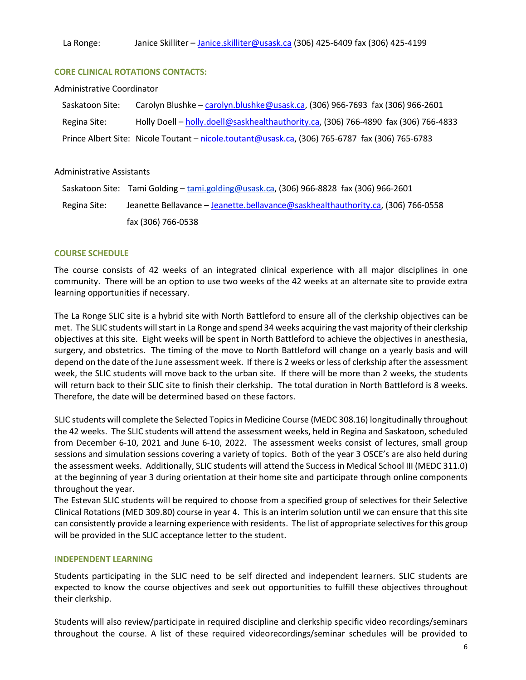#### **CORE CLINICAL ROTATIONS CONTACTS:**

#### Administrative Coordinator

| Saskatoon Site: | Carolyn Blushke - carolyn.blushke@usask.ca, (306) 966-7693 fax (306) 966-2601                   |
|-----------------|-------------------------------------------------------------------------------------------------|
| Regina Site:    | Holly Doell - holly.doell@saskhealthauthority.ca, (306) 766-4890 fax (306) 766-4833             |
|                 | Prince Albert Site: Nicole Toutant - nicole.toutant@usask.ca, (306) 765-6787 fax (306) 765-6783 |

#### Administrative Assistants

|              | Saskatoon Site: Tami Golding - tami.golding@usask.ca, (306) 966-8828 fax (306) 966-2601 |
|--------------|-----------------------------------------------------------------------------------------|
| Regina Site: | Jeanette Bellavance – Jeanette.bellavance@saskhealthauthority.ca, (306) 766-0558        |
|              | fax (306) 766-0538                                                                      |

#### **COURSE SCHEDULE**

The course consists of 42 weeks of an integrated clinical experience with all major disciplines in one community. There will be an option to use two weeks of the 42 weeks at an alternate site to provide extra learning opportunities if necessary.

The La Ronge SLIC site is a hybrid site with North Battleford to ensure all of the clerkship objectives can be met. The SLIC students will start in La Ronge and spend 34 weeks acquiring the vast majority of their clerkship objectives at this site. Eight weeks will be spent in North Battleford to achieve the objectives in anesthesia, surgery, and obstetrics. The timing of the move to North Battleford will change on a yearly basis and will depend on the date of the June assessment week. If there is 2 weeks or less of clerkship after the assessment week, the SLIC students will move back to the urban site. If there will be more than 2 weeks, the students will return back to their SLIC site to finish their clerkship. The total duration in North Battleford is 8 weeks. Therefore, the date will be determined based on these factors.

SLIC students will complete the Selected Topics in Medicine Course (MEDC 308.16) longitudinally throughout the 42 weeks. The SLIC students will attend the assessment weeks, held in Regina and Saskatoon, scheduled from December 6-10, 2021 and June 6-10, 2022. The assessment weeks consist of lectures, small group sessions and simulation sessions covering a variety of topics. Both of the year 3 OSCE's are also held during the assessment weeks. Additionally, SLIC students will attend the Success in Medical School III (MEDC 311.0) at the beginning of year 3 during orientation at their home site and participate through online components throughout the year.

The Estevan SLIC students will be required to choose from a specified group of selectives for their Selective Clinical Rotations (MED 309.80) course in year 4. This is an interim solution until we can ensure that this site can consistently provide a learning experience with residents. The list of appropriate selectives for this group will be provided in the SLIC acceptance letter to the student.

#### **INDEPENDENT LEARNING**

Students participating in the SLIC need to be self directed and independent learners. SLIC students are expected to know the course objectives and seek out opportunities to fulfill these objectives throughout their clerkship.

Students will also review/participate in required discipline and clerkship specific video recordings/seminars throughout the course. A list of these required videorecordings/seminar schedules will be provided to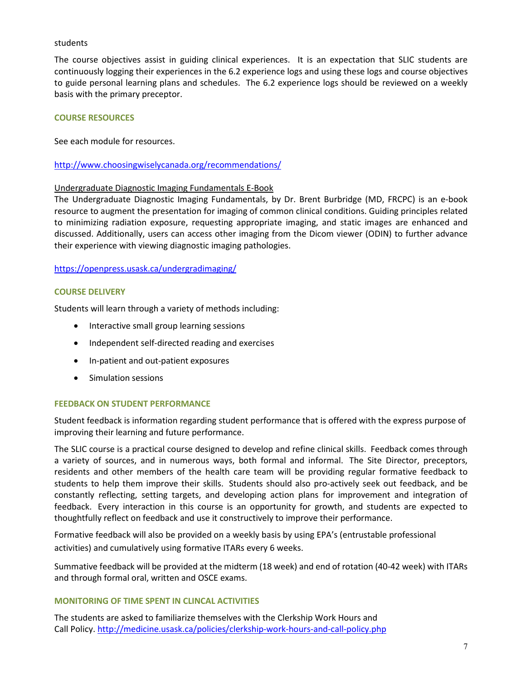#### students

The course objectives assist in guiding clinical experiences. It is an expectation that SLIC students are continuously logging their experiences in the 6.2 experience logs and using these logs and course objectives to guide personal learning plans and schedules. The 6.2 experience logs should be reviewed on a weekly basis with the primary preceptor.

## **COURSE RESOURCES**

See each module for resources.

## <http://www.choosingwiselycanada.org/recommendations/>

#### Undergraduate Diagnostic Imaging Fundamentals E-Book

The Undergraduate Diagnostic Imaging Fundamentals, by Dr. Brent Burbridge (MD, FRCPC) is an e-book resource to augment the presentation for imaging of common clinical conditions. Guiding principles related to minimizing radiation exposure, requesting appropriate imaging, and static images are enhanced and discussed. Additionally, users can access other imaging from the Dicom viewer (ODIN) to further advance their experience with viewing diagnostic imaging pathologies.

#### <https://openpress.usask.ca/undergradimaging/>

#### **COURSE DELIVERY**

Students will learn through a variety of methods including:

- Interactive small group learning sessions
- Independent self-directed reading and exercises
- In-patient and out-patient exposures
- Simulation sessions

#### **FEEDBACK ON STUDENT PERFORMANCE**

Student feedback is information regarding student performance that is offered with the express purpose of improving their learning and future performance.

The SLIC course is a practical course designed to develop and refine clinical skills. Feedback comes through a variety of sources, and in numerous ways, both formal and informal. The Site Director, preceptors, residents and other members of the health care team will be providing regular formative feedback to students to help them improve their skills. Students should also pro-actively seek out feedback, and be constantly reflecting, setting targets, and developing action plans for improvement and integration of feedback. Every interaction in this course is an opportunity for growth, and students are expected to thoughtfully reflect on feedback and use it constructively to improve their performance.

Formative feedback will also be provided on a weekly basis by using EPA's (entrustable professional activities) and cumulatively using formative ITARs every 6 weeks.

Summative feedback will be provided at the midterm (18 week) and end of rotation (40-42 week) with ITARs and through formal oral, written and OSCE exams.

#### **MONITORING OF TIME SPENT IN CLINCAL ACTIVITIES**

The students are asked to familiarize themselves with the Clerkship Work Hours and Call Policy[. http://medicine.usask.ca/policies/clerkship-work-hours-and-call-policy.php](http://medicine.usask.ca/policies/clerkship-work-hours-and-call-policy.php)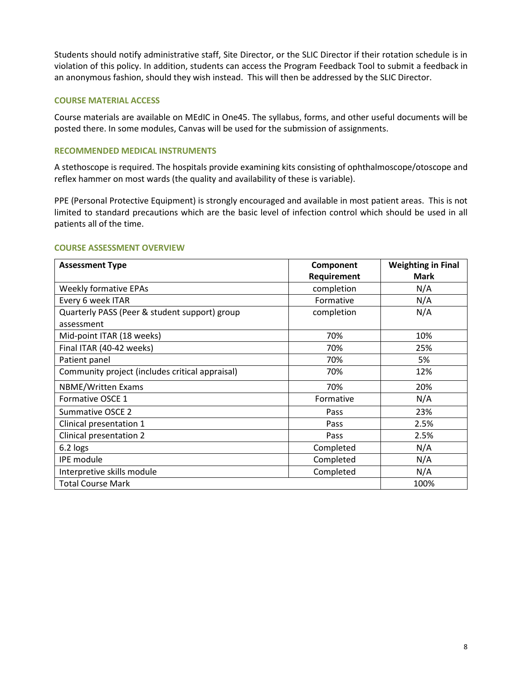Students should notify administrative staff, Site Director, or the SLIC Director if their rotation schedule is in violation of this policy. In addition, students can access the Program Feedback Tool to submit a feedback in an anonymous fashion, should they wish instead. This will then be addressed by the SLIC Director.

#### **COURSE MATERIAL ACCESS**

Course materials are available on MEdIC in One45. The syllabus, forms, and other useful documents will be posted there. In some modules, Canvas will be used for the submission of assignments.

## **RECOMMENDED MEDICAL INSTRUMENTS**

A stethoscope is required. The hospitals provide examining kits consisting of ophthalmoscope/otoscope and reflex hammer on most wards (the quality and availability of these is variable).

PPE (Personal Protective Equipment) is strongly encouraged and available in most patient areas. This is not limited to standard precautions which are the basic level of infection control which should be used in all patients all of the time.

| <b>Assessment Type</b>                          | Component   | <b>Weighting in Final</b> |
|-------------------------------------------------|-------------|---------------------------|
|                                                 | Requirement | <b>Mark</b>               |
| <b>Weekly formative EPAs</b>                    | completion  | N/A                       |
| Every 6 week ITAR                               | Formative   | N/A                       |
| Quarterly PASS (Peer & student support) group   | completion  | N/A                       |
| assessment                                      |             |                           |
| Mid-point ITAR (18 weeks)                       | 70%         | 10%                       |
| Final ITAR (40-42 weeks)                        | 70%         | 25%                       |
| Patient panel                                   | 70%         | 5%                        |
| Community project (includes critical appraisal) | 70%         | 12%                       |
| <b>NBME/Written Exams</b>                       | 70%         | 20%                       |
| Formative OSCE 1                                | Formative   | N/A                       |
| Summative OSCE 2                                | Pass        | 23%                       |
| Clinical presentation 1                         | Pass        | 2.5%                      |
| Clinical presentation 2                         | Pass        | 2.5%                      |
| 6.2 logs                                        | Completed   | N/A                       |
| <b>IPE</b> module                               | Completed   | N/A                       |
| Interpretive skills module                      | Completed   | N/A                       |
| <b>Total Course Mark</b>                        |             | 100%                      |

#### **COURSE ASSESSMENT OVERVIEW**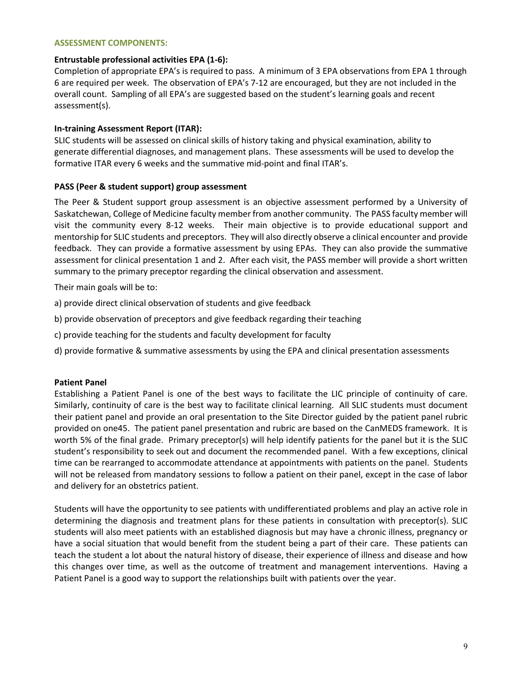#### **ASSESSMENT COMPONENTS:**

#### **Entrustable professional activities EPA (1-6):**

Completion of appropriate EPA's is required to pass. A minimum of 3 EPA observations from EPA 1 through 6 are required per week. The observation of EPA's 7-12 are encouraged, but they are not included in the overall count. Sampling of all EPA's are suggested based on the student's learning goals and recent assessment(s).

## **In-training Assessment Report (ITAR):**

SLIC students will be assessed on clinical skills of history taking and physical examination, ability to generate differential diagnoses, and management plans. These assessments will be used to develop the formative ITAR every 6 weeks and the summative mid-point and final ITAR's.

#### **PASS (Peer & student support) group assessment**

The Peer & Student support group assessment is an objective assessment performed by a University of Saskatchewan, College of Medicine faculty member from another community. The PASS faculty member will visit the community every 8-12 weeks. Their main objective is to provide educational support and mentorship for SLIC students and preceptors. They will also directly observe a clinical encounter and provide feedback. They can provide a formative assessment by using EPAs. They can also provide the summative assessment for clinical presentation 1 and 2. After each visit, the PASS member will provide a short written summary to the primary preceptor regarding the clinical observation and assessment.

Their main goals will be to:

- a) provide direct clinical observation of students and give feedback
- b) provide observation of preceptors and give feedback regarding their teaching
- c) provide teaching for the students and faculty development for faculty
- d) provide formative & summative assessments by using the EPA and clinical presentation assessments

## **Patient Panel**

Establishing a Patient Panel is one of the best ways to facilitate the LIC principle of continuity of care. Similarly, continuity of care is the best way to facilitate clinical learning. All SLIC students must document their patient panel and provide an oral presentation to the Site Director guided by the patient panel rubric provided on one45. The patient panel presentation and rubric are based on the CanMEDS framework. It is worth 5% of the final grade. Primary preceptor(s) will help identify patients for the panel but it is the SLIC student's responsibility to seek out and document the recommended panel. With a few exceptions, clinical time can be rearranged to accommodate attendance at appointments with patients on the panel. Students will not be released from mandatory sessions to follow a patient on their panel, except in the case of labor and delivery for an obstetrics patient.

Students will have the opportunity to see patients with undifferentiated problems and play an active role in determining the diagnosis and treatment plans for these patients in consultation with preceptor(s). SLIC students will also meet patients with an established diagnosis but may have a chronic illness, pregnancy or have a social situation that would benefit from the student being a part of their care. These patients can teach the student a lot about the natural history of disease, their experience of illness and disease and how this changes over time, as well as the outcome of treatment and management interventions. Having a Patient Panel is a good way to support the relationships built with patients over the year.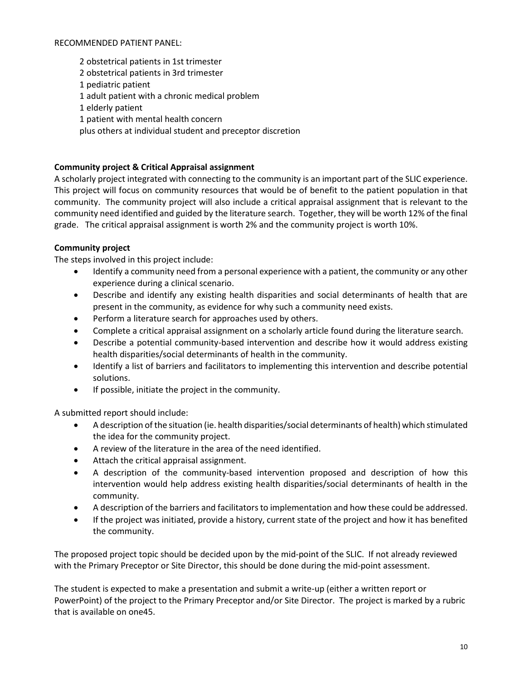#### RECOMMENDED PATIENT PANEL:

2 obstetrical patients in 1st trimester 2 obstetrical patients in 3rd trimester 1 pediatric patient 1 adult patient with a chronic medical problem 1 elderly patient 1 patient with mental health concern plus others at individual student and preceptor discretion

# **Community project & Critical Appraisal assignment**

A scholarly project integrated with connecting to the community is an important part of the SLIC experience. This project will focus on community resources that would be of benefit to the patient population in that community. The community project will also include a critical appraisal assignment that is relevant to the community need identified and guided by the literature search. Together, they will be worth 12% of the final grade. The critical appraisal assignment is worth 2% and the community project is worth 10%.

## **Community project**

The steps involved in this project include:

- Identify a community need from a personal experience with a patient, the community or any other experience during a clinical scenario.
- Describe and identify any existing health disparities and social determinants of health that are present in the community, as evidence for why such a community need exists.
- Perform a literature search for approaches used by others.
- Complete a critical appraisal assignment on a scholarly article found during the literature search.
- Describe a potential community-based intervention and describe how it would address existing health disparities/social determinants of health in the community.
- Identify a list of barriers and facilitators to implementing this intervention and describe potential solutions.
- If possible, initiate the project in the community.

A submitted report should include:

- A description of the situation (ie. health disparities/social determinants of health) which stimulated the idea for the community project.
- A review of the literature in the area of the need identified.
- Attach the critical appraisal assignment.
- A description of the community-based intervention proposed and description of how this intervention would help address existing health disparities/social determinants of health in the community.
- A description of the barriers and facilitators to implementation and how these could be addressed.
- If the project was initiated, provide a history, current state of the project and how it has benefited the community.

The proposed project topic should be decided upon by the mid-point of the SLIC. If not already reviewed with the Primary Preceptor or Site Director, this should be done during the mid-point assessment.

The student is expected to make a presentation and submit a write-up (either a written report or PowerPoint) of the project to the Primary Preceptor and/or Site Director. The project is marked by a rubric that is available on one45.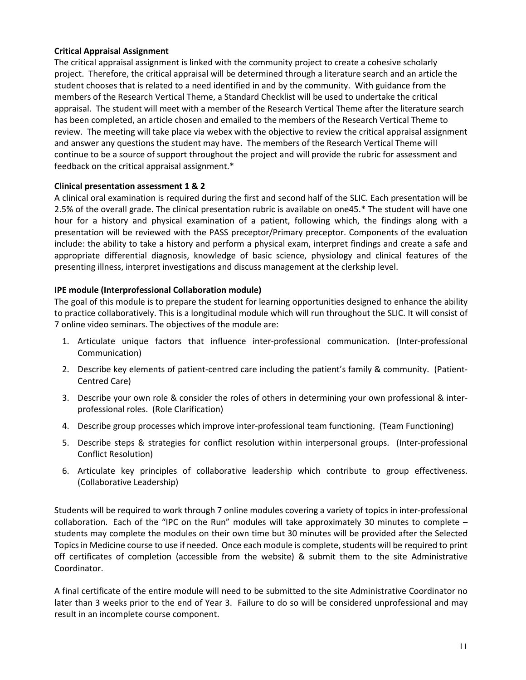# **Critical Appraisal Assignment**

The critical appraisal assignment is linked with the community project to create a cohesive scholarly project. Therefore, the critical appraisal will be determined through a literature search and an article the student chooses that is related to a need identified in and by the community. With guidance from the members of the Research Vertical Theme, a Standard Checklist will be used to undertake the critical appraisal. The student will meet with a member of the Research Vertical Theme after the literature search has been completed, an article chosen and emailed to the members of the Research Vertical Theme to review. The meeting will take place via webex with the objective to review the critical appraisal assignment and answer any questions the student may have. The members of the Research Vertical Theme will continue to be a source of support throughout the project and will provide the rubric for assessment and feedback on the critical appraisal assignment.\*

## **Clinical presentation assessment 1 & 2**

A clinical oral examination is required during the first and second half of the SLIC. Each presentation will be 2.5% of the overall grade. The clinical presentation rubric is available on one45.\* The student will have one hour for a history and physical examination of a patient, following which, the findings along with a presentation will be reviewed with the PASS preceptor/Primary preceptor. Components of the evaluation include: the ability to take a history and perform a physical exam, interpret findings and create a safe and appropriate differential diagnosis, knowledge of basic science, physiology and clinical features of the presenting illness, interpret investigations and discuss management at the clerkship level.

# **IPE module (Interprofessional Collaboration module)**

The goal of this module is to prepare the student for learning opportunities designed to enhance the ability to practice collaboratively. This is a longitudinal module which will run throughout the SLIC. It will consist of 7 online video seminars. The objectives of the module are:

- 1. Articulate unique factors that influence inter-professional communication. (Inter-professional Communication)
- 2. Describe key elements of patient-centred care including the patient's family & community. (Patient-Centred Care)
- 3. Describe your own role & consider the roles of others in determining your own professional & interprofessional roles. (Role Clarification)
- 4. Describe group processes which improve inter-professional team functioning. (Team Functioning)
- 5. Describe steps & strategies for conflict resolution within interpersonal groups. (Inter-professional Conflict Resolution)
- 6. Articulate key principles of collaborative leadership which contribute to group effectiveness. (Collaborative Leadership)

Students will be required to work through 7 online modules covering a variety of topics in inter-professional collaboration. Each of the "IPC on the Run" modules will take approximately 30 minutes to complete – students may complete the modules on their own time but 30 minutes will be provided after the Selected Topics in Medicine course to use if needed. Once each module is complete, students will be required to print off certificates of completion (accessible from the website) & submit them to the site Administrative Coordinator.

A final certificate of the entire module will need to be submitted to the site Administrative Coordinator no later than 3 weeks prior to the end of Year 3. Failure to do so will be considered unprofessional and may result in an incomplete course component.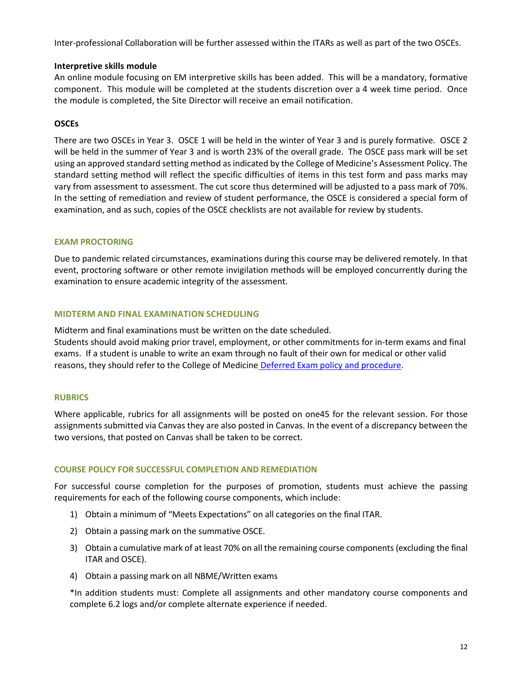Inter-professional Collaboration will be further assessed within the ITARs as well as part of the two OSCEs.

## **Interpretive skills module**

An online module focusing on EM interpretive skills has been added. This will be a mandatory, formative component. This module will be completed at the students discretion over a 4 week time period. Once the module is completed, the Site Director will receive an email notification.

# **OSCEs**

There are two OSCEs in Year 3. OSCE 1 will be held in the winter of Year 3 and is purely formative. OSCE 2 will be held in the summer of Year 3 and is worth 23% of the overall grade. The OSCE pass mark will be set using an approved standard setting method as indicated by the College of Medicine's Assessment Policy. The standard setting method will reflect the specific difficulties of items in this test form and pass marks may vary from assessment to assessment. The cut score thus determined will be adjusted to a pass mark of 70%. In the setting of remediation and review of student performance, the OSCE is considered a special form of examination, and as such, copies of the OSCE checklists are not available for review by students.

## **EXAM PROCTORING**

Due to pandemic related circumstances, examinations during this course may be delivered remotely. In that event, proctoring software or other remote invigilation methods will be employed concurrently during the examination to ensure academic integrity of the assessment.

# **MIDTERM AND FINAL EXAMINATION SCHEDULING**

Midterm and final examinations must be written on the date scheduled. Students should avoid making prior travel, employment, or other commitments for in-term exams and final exams. If a student is unable to write an exam through no fault of their own for medical or other valid reasons, they should refer to the College of Medicine [Deferred Exam policy and procedure.](https://medicine.usask.ca/policies/deferred-exams.php)

## **RUBRICS**

Where applicable, rubrics for all assignments will be posted on one45 for the relevant session. For those assignments submitted via Canvas they are also posted in Canvas. In the event of a discrepancy between the two versions, that posted on Canvas shall be taken to be correct.

## **COURSE POLICY FOR SUCCESSFUL COMPLETION AND REMEDIATION**

For successful course completion for the purposes of promotion, students must achieve the passing requirements for each of the following course components, which include:

- 1) Obtain a minimum of "Meets Expectations" on all categories on the final ITAR.
- 2) Obtain a passing mark on the summative OSCE.
- 3) Obtain a cumulative mark of at least 70% on all the remaining course components (excluding the final ITAR and OSCE).
- 4) Obtain a passing mark on all NBME/Written exams

\*In addition students must: Complete all assignments and other mandatory course components and complete 6.2 logs and/or complete alternate experience if needed.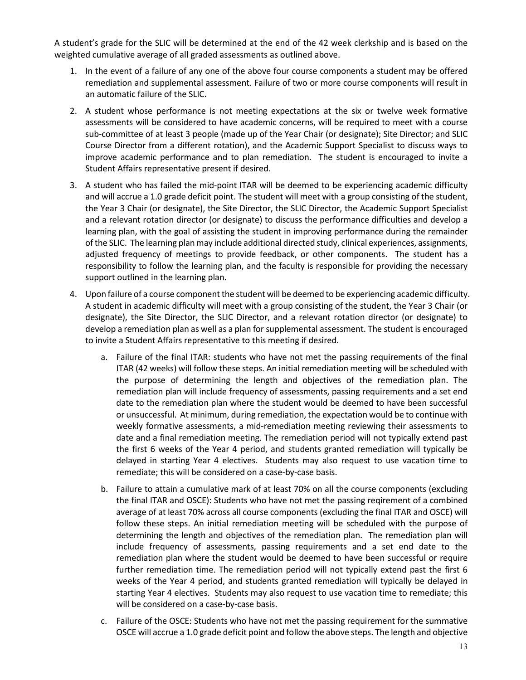A student's grade for the SLIC will be determined at the end of the 42 week clerkship and is based on the weighted cumulative average of all graded assessments as outlined above.

- 1. In the event of a failure of any one of the above four course components a student may be offered remediation and supplemental assessment. Failure of two or more course components will result in an automatic failure of the SLIC.
- 2. A student whose performance is not meeting expectations at the six or twelve week formative assessments will be considered to have academic concerns, will be required to meet with a course sub-committee of at least 3 people (made up of the Year Chair (or designate); Site Director; and SLIC Course Director from a different rotation), and the Academic Support Specialist to discuss ways to improve academic performance and to plan remediation. The student is encouraged to invite a Student Affairs representative present if desired.
- 3. A student who has failed the mid-point ITAR will be deemed to be experiencing academic difficulty and will accrue a 1.0 grade deficit point. The student will meet with a group consisting of the student, the Year 3 Chair (or designate), the Site Director, the SLIC Director, the Academic Support Specialist and a relevant rotation director (or designate) to discuss the performance difficulties and develop a learning plan, with the goal of assisting the student in improving performance during the remainder of the SLIC. The learning plan may include additional directed study, clinical experiences, assignments, adjusted frequency of meetings to provide feedback, or other components. The student has a responsibility to follow the learning plan, and the faculty is responsible for providing the necessary support outlined in the learning plan.
- 4. Upon failure of a course component the student will be deemed to be experiencing academic difficulty. A student in academic difficulty will meet with a group consisting of the student, the Year 3 Chair (or designate), the Site Director, the SLIC Director, and a relevant rotation director (or designate) to develop a remediation plan as well as a plan for supplemental assessment. The student is encouraged to invite a Student Affairs representative to this meeting if desired.
	- a. Failure of the final ITAR: students who have not met the passing requirements of the final ITAR (42 weeks) will follow these steps. An initial remediation meeting will be scheduled with the purpose of determining the length and objectives of the remediation plan. The remediation plan will include frequency of assessments, passing requirements and a set end date to the remediation plan where the student would be deemed to have been successful or unsuccessful. At minimum, during remediation, the expectation would be to continue with weekly formative assessments, a mid-remediation meeting reviewing their assessments to date and a final remediation meeting. The remediation period will not typically extend past the first 6 weeks of the Year 4 period, and students granted remediation will typically be delayed in starting Year 4 electives. Students may also request to use vacation time to remediate; this will be considered on a case-by-case basis.
	- b. Failure to attain a cumulative mark of at least 70% on all the course components (excluding the final ITAR and OSCE): Students who have not met the passing reqirement of a combined average of at least 70% across all course components (excluding the final ITAR and OSCE) will follow these steps. An initial remediation meeting will be scheduled with the purpose of determining the length and objectives of the remediation plan. The remediation plan will include frequency of assessments, passing requirements and a set end date to the remediation plan where the student would be deemed to have been successful or require further remediation time. The remediation period will not typically extend past the first 6 weeks of the Year 4 period, and students granted remediation will typically be delayed in starting Year 4 electives. Students may also request to use vacation time to remediate; this will be considered on a case-by-case basis.
	- c. Failure of the OSCE: Students who have not met the passing requirement for the summative OSCE will accrue a 1.0 grade deficit point and follow the above steps. The length and objective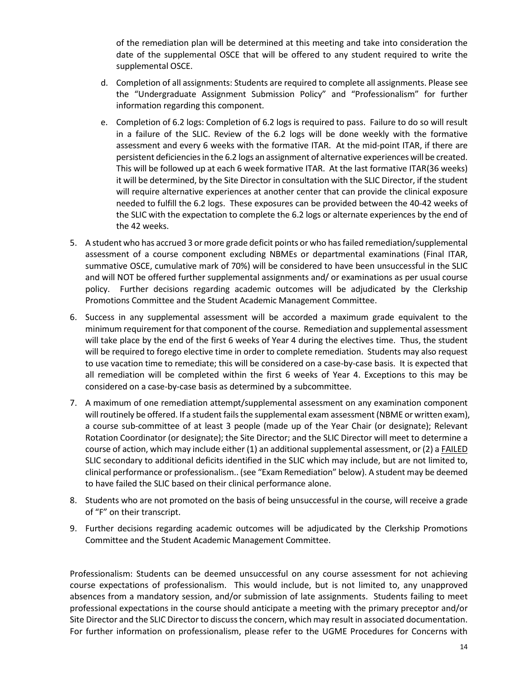of the remediation plan will be determined at this meeting and take into consideration the date of the supplemental OSCE that will be offered to any student required to write the supplemental OSCE.

- d. Completion of all assignments: Students are required to complete all assignments. Please see the "Undergraduate Assignment Submission Policy" and "Professionalism" for further information regarding this component.
- e. Completion of 6.2 logs: Completion of 6.2 logs is required to pass. Failure to do so will result in a failure of the SLIC. Review of the 6.2 logs will be done weekly with the formative assessment and every 6 weeks with the formative ITAR. At the mid-point ITAR, if there are persistent deficiencies in the 6.2 logs an assignment of alternative experiences will be created. This will be followed up at each 6 week formative ITAR. At the last formative ITAR(36 weeks) it will be determined, by the Site Director in consultation with the SLIC Director, if the student will require alternative experiences at another center that can provide the clinical exposure needed to fulfill the 6.2 logs. These exposures can be provided between the 40-42 weeks of the SLIC with the expectation to complete the 6.2 logs or alternate experiences by the end of the 42 weeks.
- 5. A student who has accrued 3 or more grade deficit points or who has failed remediation/supplemental assessment of a course component excluding NBMEs or departmental examinations (Final ITAR, summative OSCE, cumulative mark of 70%) will be considered to have been unsuccessful in the SLIC and will NOT be offered further supplemental assignments and/ or examinations as per usual course policy. Further decisions regarding academic outcomes will be adjudicated by the Clerkship Promotions Committee and the Student Academic Management Committee.
- 6. Success in any supplemental assessment will be accorded a maximum grade equivalent to the minimum requirement for that component of the course. Remediation and supplemental assessment will take place by the end of the first 6 weeks of Year 4 during the electives time. Thus, the student will be required to forego elective time in order to complete remediation. Students may also request to use vacation time to remediate; this will be considered on a case-by-case basis. It is expected that all remediation will be completed within the first 6 weeks of Year 4. Exceptions to this may be considered on a case-by-case basis as determined by a subcommittee.
- 7. A maximum of one remediation attempt/supplemental assessment on any examination component will routinely be offered. If a student fails the supplemental exam assessment (NBME or written exam), a course sub-committee of at least 3 people (made up of the Year Chair (or designate); Relevant Rotation Coordinator (or designate); the Site Director; and the SLIC Director will meet to determine a course of action, which may include either (1) an additional supplemental assessment, or (2) a FAILED SLIC secondary to additional deficits identified in the SLIC which may include, but are not limited to, clinical performance or professionalism.. (see "Exam Remediation" below). A student may be deemed to have failed the SLIC based on their clinical performance alone.
- 8. Students who are not promoted on the basis of being unsuccessful in the course, will receive a grade of "F" on their transcript.
- 9. Further decisions regarding academic outcomes will be adjudicated by the Clerkship Promotions Committee and the Student Academic Management Committee.

 Professionalism: Students can be deemed unsuccessful on any course assessment for not achieving course expectations of professionalism. This would include, but is not limited to, any unapproved absences from a mandatory session, and/or submission of late assignments. Students failing to meet professional expectations in the course should anticipate a meeting with the primary preceptor and/or Site Director and the SLIC Director to discuss the concern, which may result in associated documentation. For further information on professionalism, please refer to the UGME Procedures for Concerns with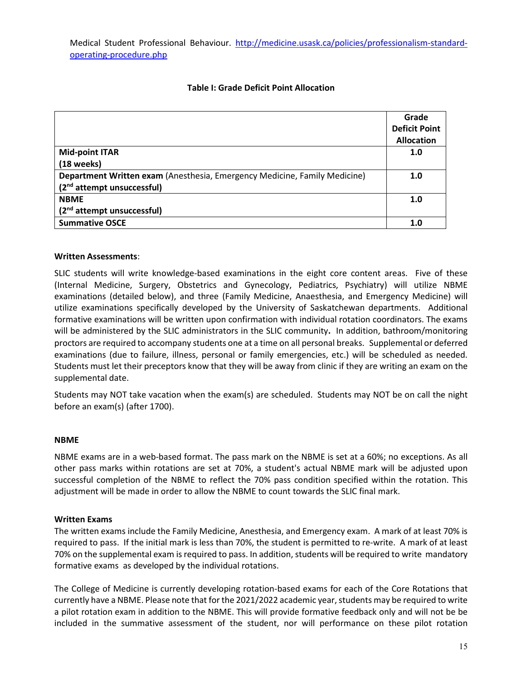Medical Student Professional Behaviour. [http://medicine.usask.ca/policies/professionalism-standard](http://medicine.usask.ca/policies/professionalism-standard-operating-procedure.php)[operating-procedure.php](http://medicine.usask.ca/policies/professionalism-standard-operating-procedure.php)

## **Table I: Grade Deficit Point Allocation**

|                                                                           | Grade                |
|---------------------------------------------------------------------------|----------------------|
|                                                                           | <b>Deficit Point</b> |
|                                                                           | <b>Allocation</b>    |
| <b>Mid-point ITAR</b>                                                     | 1.0                  |
| $(18$ weeks)                                                              |                      |
| Department Written exam (Anesthesia, Emergency Medicine, Family Medicine) |                      |
| (2 <sup>nd</sup> attempt unsuccessful)                                    |                      |
| <b>NBME</b>                                                               | 1.0                  |
| (2 <sup>nd</sup> attempt unsuccessful)                                    |                      |
| <b>Summative OSCE</b>                                                     | 1.0                  |

#### **Written Assessments**:

SLIC students will write knowledge-based examinations in the eight core content areas. Five of these (Internal Medicine, Surgery, Obstetrics and Gynecology, Pediatrics, Psychiatry) will utilize NBME examinations (detailed below), and three (Family Medicine, Anaesthesia, and Emergency Medicine) will utilize examinations specifically developed by the University of Saskatchewan departments. Additional formative examinations will be written upon confirmation with individual rotation coordinators. The exams will be administered by the SLIC administrators in the SLIC community**.** In addition, bathroom/monitoring proctors are required to accompany students one at a time on all personal breaks. Supplemental or deferred examinations (due to failure, illness, personal or family emergencies, etc.) will be scheduled as needed. Students must let their preceptors know that they will be away from clinic if they are writing an exam on the supplemental date.

Students may NOT take vacation when the exam(s) are scheduled. Students may NOT be on call the night before an exam(s) (after 1700).

#### **NBME**

NBME exams are in a web-based format. The pass mark on the NBME is set at a 60%; no exceptions. As all other pass marks within rotations are set at 70%, a student's actual NBME mark will be adjusted upon successful completion of the NBME to reflect the 70% pass condition specified within the rotation. This adjustment will be made in order to allow the NBME to count towards the SLIC final mark.

#### **Written Exams**

The written exams include the Family Medicine, Anesthesia, and Emergency exam. A mark of at least 70% is required to pass. If the initial mark is less than 70%, the student is permitted to re-write. A mark of at least 70% on the supplemental exam is required to pass. In addition, students will be required to write mandatory formative exams as developed by the individual rotations.

The College of Medicine is currently developing rotation-based exams for each of the Core Rotations that currently have a NBME. Please note that for the 2021/2022 academic year, students may be required to write a pilot rotation exam in addition to the NBME. This will provide formative feedback only and will not be be included in the summative assessment of the student, nor will performance on these pilot rotation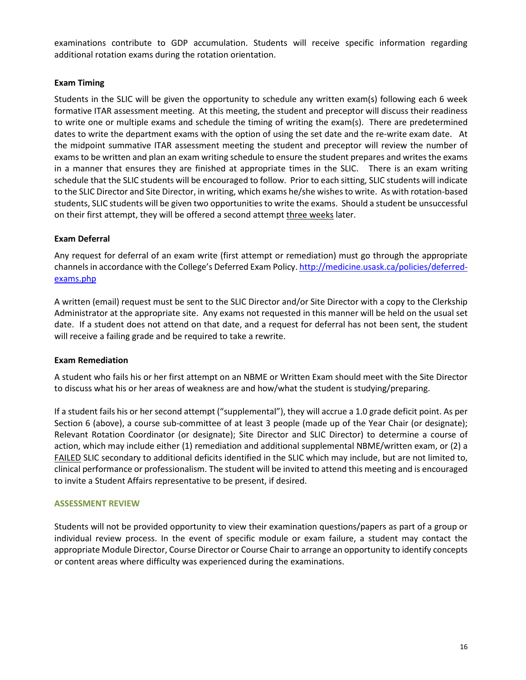examinations contribute to GDP accumulation. Students will receive specific information regarding additional rotation exams during the rotation orientation.

## **Exam Timing**

Students in the SLIC will be given the opportunity to schedule any written exam(s) following each 6 week formative ITAR assessment meeting. At this meeting, the student and preceptor will discuss their readiness to write one or multiple exams and schedule the timing of writing the exam(s). There are predetermined dates to write the department exams with the option of using the set date and the re-write exam date. At the midpoint summative ITAR assessment meeting the student and preceptor will review the number of exams to be written and plan an exam writing schedule to ensure the student prepares and writes the exams in a manner that ensures they are finished at appropriate times in the SLIC. There is an exam writing schedule that the SLIC students will be encouraged to follow. Prior to each sitting, SLIC students will indicate to the SLIC Director and Site Director, in writing, which exams he/she wishes to write. As with rotation-based students, SLIC students will be given two opportunities to write the exams. Should a student be unsuccessful on their first attempt, they will be offered a second attempt three weeks later.

#### **Exam Deferral**

Any request for deferral of an exam write (first attempt or remediation) must go through the appropriate channels in accordance with the College's Deferred Exam Policy[. http://medicine.usask.ca/policies/deferred](http://medicine.usask.ca/policies/deferred-exams.php)[exams.php](http://medicine.usask.ca/policies/deferred-exams.php) 

A written (email) request must be sent to the SLIC Director and/or Site Director with a copy to the Clerkship Administrator at the appropriate site. Any exams not requested in this manner will be held on the usual set date. If a student does not attend on that date, and a request for deferral has not been sent, the student will receive a failing grade and be required to take a rewrite.

#### **Exam Remediation**

A student who fails his or her first attempt on an NBME or Written Exam should meet with the Site Director to discuss what his or her areas of weakness are and how/what the student is studying/preparing.

If a student fails his or her second attempt ("supplemental"), they will accrue a 1.0 grade deficit point. As per Section 6 (above), a course sub-committee of at least 3 people (made up of the Year Chair (or designate); Relevant Rotation Coordinator (or designate); Site Director and SLIC Director) to determine a course of action, which may include either (1) remediation and additional supplemental NBME/written exam, or (2) a FAILED SLIC secondary to additional deficits identified in the SLIC which may include, but are not limited to, clinical performance or professionalism. The student will be invited to attend this meeting and is encouraged to invite a Student Affairs representative to be present, if desired.

#### **ASSESSMENT REVIEW**

Students will not be provided opportunity to view their examination questions/papers as part of a group or individual review process. In the event of specific module or exam failure, a student may contact the appropriate Module Director, Course Director or Course Chair to arrange an opportunity to identify concepts or content areas where difficulty was experienced during the examinations.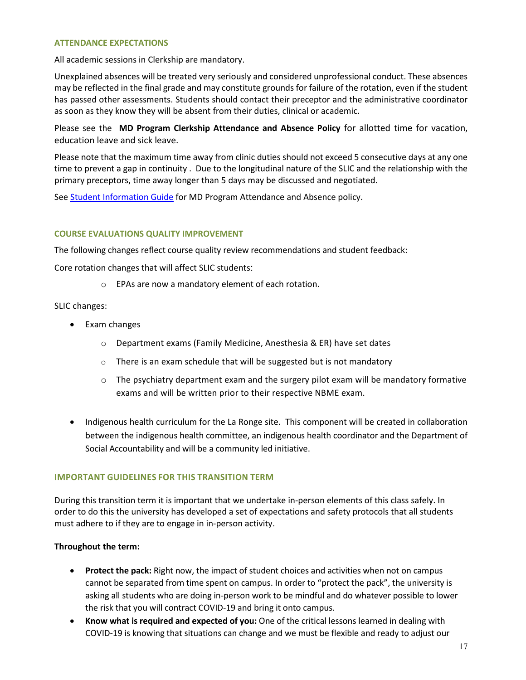#### **ATTENDANCE EXPECTATIONS**

All academic sessions in Clerkship are mandatory.

Unexplained absences will be treated very seriously and considered unprofessional conduct. These absences may be reflected in the final grade and may constitute grounds for failure of the rotation, even if the student has passed other assessments. Students should contact their preceptor and the administrative coordinator as soon as they know they will be absent from their duties, clinical or academic.

Please see the **MD Program Clerkship Attendance and Absence Policy** for allotted time for vacation, education leave and sick leave.

Please note that the maximum time away from clinic duties should not exceed 5 consecutive days at any one time to prevent a gap in continuity . Due to the longitudinal nature of the SLIC and the relationship with the primary preceptors, time away longer than 5 days may be discussed and negotiated.

See [Student Information Guide](http://medicine.usask.ca/students/undergraduate/curriculum-schedules-objectives.php#StudentInformationGuideSyllabi) for MD Program Attendance and Absence policy.

#### **COURSE EVALUATIONS QUALITY IMPROVEMENT**

The following changes reflect course quality review recommendations and student feedback:

Core rotation changes that will affect SLIC students:

o EPAs are now a mandatory element of each rotation.

#### SLIC changes:

- Exam changes
	- o Department exams (Family Medicine, Anesthesia & ER) have set dates
	- o There is an exam schedule that will be suggested but is not mandatory
	- $\circ$  The psychiatry department exam and the surgery pilot exam will be mandatory formative exams and will be written prior to their respective NBME exam.
- Indigenous health curriculum for the La Ronge site. This component will be created in collaboration between the indigenous health committee, an indigenous health coordinator and the Department of Social Accountability and will be a community led initiative.

#### **IMPORTANT GUIDELINES FOR THIS TRANSITION TERM**

During this transition term it is important that we undertake in-person elements of this class safely. In order to do this the university has developed a set of expectations and safety protocols that all students must adhere to if they are to engage in in-person activity.

#### **Throughout the term:**

- **Protect the pack:** Right now, the impact of student choices and activities when not on campus cannot be separated from time spent on campus. In order to "protect the pack", the university is asking all students who are doing in-person work to be mindful and do whatever possible to lower the risk that you will contract COVID-19 and bring it onto campus.
- **Know what is required and expected of you:** One of the critical lessons learned in dealing with COVID-19 is knowing that situations can change and we must be flexible and ready to adjust our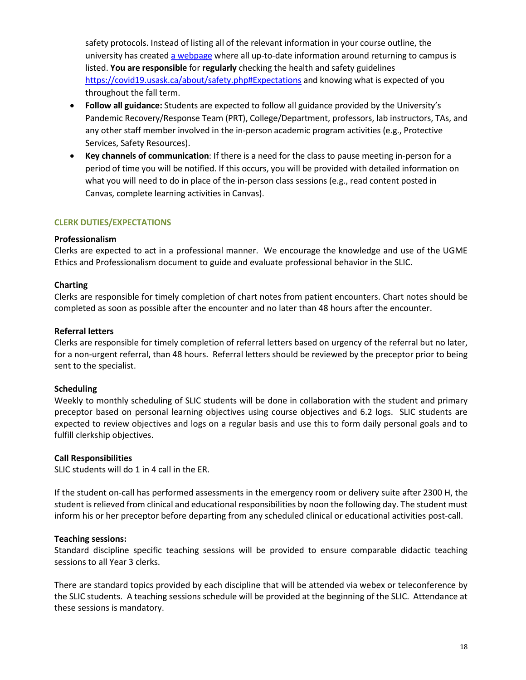safety protocols. Instead of listing all of the relevant information in your course outline, the university has created [a webpage](https://covid19.usask.ca/students.php#Oncampusessentials) where all up-to-date information around returning to campus is listed. **You are responsible** for **regularly** checking the health and safety guidelines <https://covid19.usask.ca/about/safety.php#Expectations>and knowing what is expected of you throughout the fall term.

- **Follow all guidance:** Students are expected to follow all guidance provided by the University's Pandemic Recovery/Response Team (PRT), College/Department, professors, lab instructors, TAs, and any other staff member involved in the in-person academic program activities (e.g., Protective Services, Safety Resources).
- **Key channels of communication**: If there is a need for the class to pause meeting in-person for a period of time you will be notified. If this occurs, you will be provided with detailed information on what you will need to do in place of the in-person class sessions (e.g., read content posted in Canvas, complete learning activities in Canvas).

# **CLERK DUTIES/EXPECTATIONS**

## **Professionalism**

Clerks are expected to act in a professional manner. We encourage the knowledge and use of the UGME Ethics and Professionalism document to guide and evaluate professional behavior in the SLIC.

## **Charting**

Clerks are responsible for timely completion of chart notes from patient encounters. Chart notes should be completed as soon as possible after the encounter and no later than 48 hours after the encounter.

# **Referral letters**

Clerks are responsible for timely completion of referral letters based on urgency of the referral but no later, for a non-urgent referral, than 48 hours. Referral letters should be reviewed by the preceptor prior to being sent to the specialist.

## **Scheduling**

Weekly to monthly scheduling of SLIC students will be done in collaboration with the student and primary preceptor based on personal learning objectives using course objectives and 6.2 logs. SLIC students are expected to review objectives and logs on a regular basis and use this to form daily personal goals and to fulfill clerkship objectives.

## **Call Responsibilities**

SLIC students will do 1 in 4 call in the ER.

If the student on-call has performed assessments in the emergency room or delivery suite after 2300 H, the student is relieved from clinical and educational responsibilities by noon the following day. The student must inform his or her preceptor before departing from any scheduled clinical or educational activities post-call.

## **Teaching sessions:**

Standard discipline specific teaching sessions will be provided to ensure comparable didactic teaching sessions to all Year 3 clerks.

There are standard topics provided by each discipline that will be attended via webex or teleconference by the SLIC students. A teaching sessions schedule will be provided at the beginning of the SLIC. Attendance at these sessions is mandatory.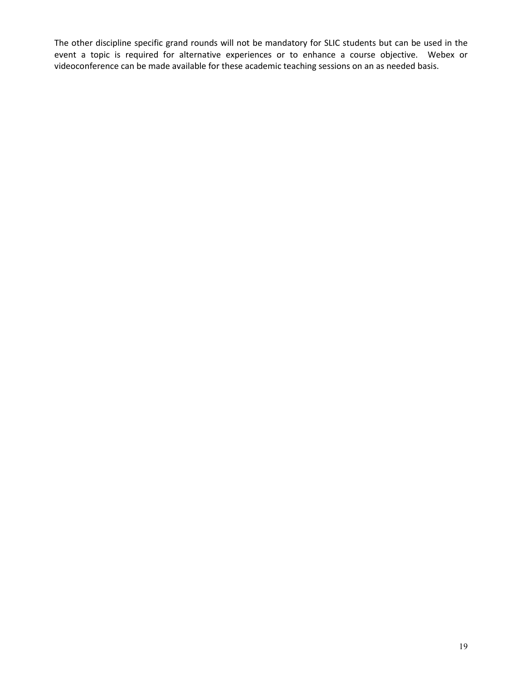The other discipline specific grand rounds will not be mandatory for SLIC students but can be used in the event a topic is required for alternative experiences or to enhance a course objective. Webex or videoconference can be made available for these academic teaching sessions on an as needed basis.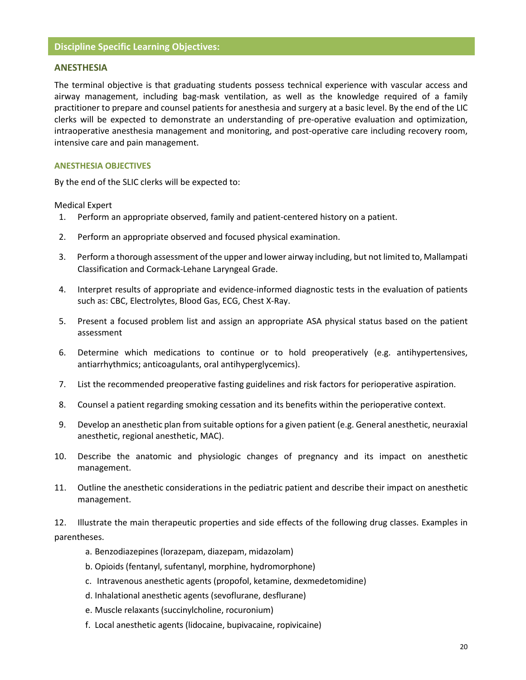## **Discipline Specific Learning Objectives:**

#### **ANESTHESIA**

The terminal objective is that graduating students possess technical experience with vascular access and airway management, including bag-mask ventilation, as well as the knowledge required of a family practitioner to prepare and counsel patients for anesthesia and surgery at a basic level. By the end of the LIC clerks will be expected to demonstrate an understanding of pre-operative evaluation and optimization, intraoperative anesthesia management and monitoring, and post-operative care including recovery room, intensive care and pain management.

#### **ANESTHESIA OBJECTIVES**

By the end of the SLIC clerks will be expected to:

Medical Expert

- 1. Perform an appropriate observed, family and patient-centered history on a patient.
- 2. Perform an appropriate observed and focused physical examination.
- 3. Perform a thorough assessment of the upper and lower airway including, but not limited to, Mallampati Classification and Cormack-Lehane Laryngeal Grade.
- 4. Interpret results of appropriate and evidence-informed diagnostic tests in the evaluation of patients such as: CBC, Electrolytes, Blood Gas, ECG, Chest X-Ray.
- 5. Present a focused problem list and assign an appropriate ASA physical status based on the patient assessment
- 6. Determine which medications to continue or to hold preoperatively (e.g. antihypertensives, antiarrhythmics; anticoagulants, oral antihyperglycemics).
- 7. List the recommended preoperative fasting guidelines and risk factors for perioperative aspiration.
- 8. Counsel a patient regarding smoking cessation and its benefits within the perioperative context.
- 9. Develop an anesthetic plan from suitable options for a given patient (e.g. General anesthetic, neuraxial anesthetic, regional anesthetic, MAC).
- 10. Describe the anatomic and physiologic changes of pregnancy and its impact on anesthetic management.
- 11. Outline the anesthetic considerations in the pediatric patient and describe their impact on anesthetic management.

12. Illustrate the main therapeutic properties and side effects of the following drug classes. Examples in parentheses.

- a. Benzodiazepines (lorazepam, diazepam, midazolam)
- b. Opioids (fentanyl, sufentanyl, morphine, hydromorphone)
- c. Intravenous anesthetic agents (propofol, ketamine, dexmedetomidine)
- d. Inhalational anesthetic agents (sevoflurane, desflurane)
- e. Muscle relaxants (succinylcholine, rocuronium)
- f. Local anesthetic agents (lidocaine, bupivacaine, ropivicaine)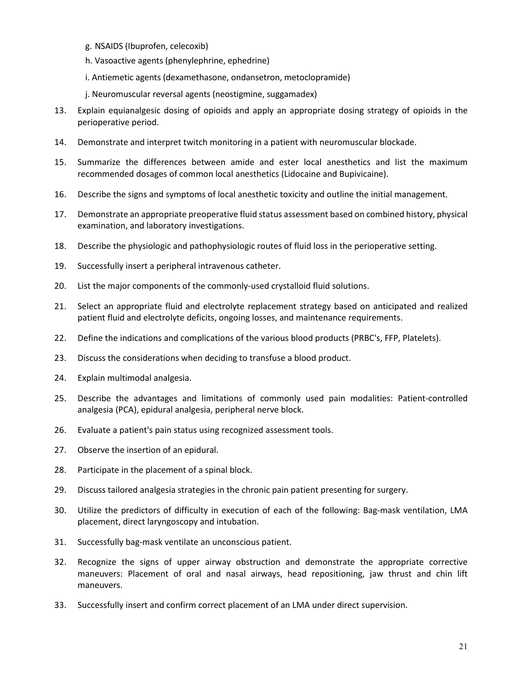- g. NSAIDS (Ibuprofen, celecoxib)
- h. Vasoactive agents (phenylephrine, ephedrine)
- i. Antiemetic agents (dexamethasone, ondansetron, metoclopramide)
- j. Neuromuscular reversal agents (neostigmine, suggamadex)
- 13. Explain equianalgesic dosing of opioids and apply an appropriate dosing strategy of opioids in the perioperative period.
- 14. Demonstrate and interpret twitch monitoring in a patient with neuromuscular blockade.
- 15. Summarize the differences between amide and ester local anesthetics and list the maximum recommended dosages of common local anesthetics (Lidocaine and Bupivicaine).
- 16. Describe the signs and symptoms of local anesthetic toxicity and outline the initial management.
- 17. Demonstrate an appropriate preoperative fluid status assessment based on combined history, physical examination, and laboratory investigations.
- 18. Describe the physiologic and pathophysiologic routes of fluid loss in the perioperative setting.
- 19. Successfully insert a peripheral intravenous catheter.
- 20. List the major components of the commonly-used crystalloid fluid solutions.
- 21. Select an appropriate fluid and electrolyte replacement strategy based on anticipated and realized patient fluid and electrolyte deficits, ongoing losses, and maintenance requirements.
- 22. Define the indications and complications of the various blood products (PRBC's, FFP, Platelets).
- 23. Discuss the considerations when deciding to transfuse a blood product.
- 24. Explain multimodal analgesia.
- 25. Describe the advantages and limitations of commonly used pain modalities: Patient-controlled analgesia (PCA), epidural analgesia, peripheral nerve block.
- 26. Evaluate a patient's pain status using recognized assessment tools.
- 27. Observe the insertion of an epidural.
- 28. Participate in the placement of a spinal block.
- 29. Discuss tailored analgesia strategies in the chronic pain patient presenting for surgery.
- 30. Utilize the predictors of difficulty in execution of each of the following: Bag-mask ventilation, LMA placement, direct laryngoscopy and intubation.
- 31. Successfully bag-mask ventilate an unconscious patient.
- 32. Recognize the signs of upper airway obstruction and demonstrate the appropriate corrective maneuvers: Placement of oral and nasal airways, head repositioning, jaw thrust and chin lift maneuvers.
- 33. Successfully insert and confirm correct placement of an LMA under direct supervision.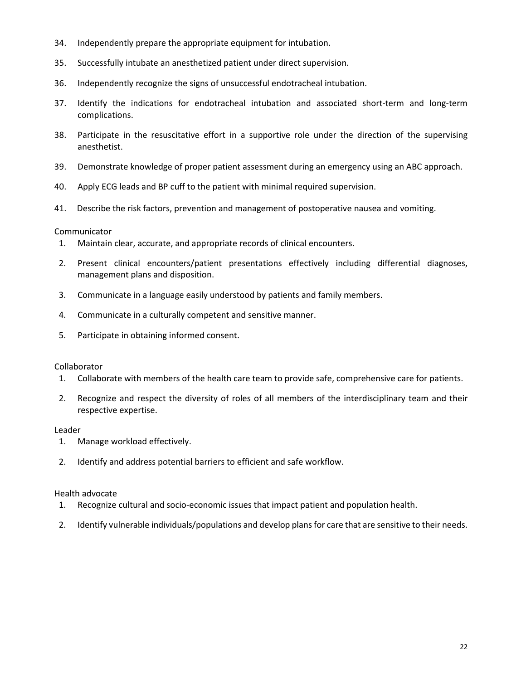- 34. Independently prepare the appropriate equipment for intubation.
- 35. Successfully intubate an anesthetized patient under direct supervision.
- 36. Independently recognize the signs of unsuccessful endotracheal intubation.
- 37. Identify the indications for endotracheal intubation and associated short-term and long-term complications.
- 38. Participate in the resuscitative effort in a supportive role under the direction of the supervising anesthetist.
- 39. Demonstrate knowledge of proper patient assessment during an emergency using an ABC approach.
- 40. Apply ECG leads and BP cuff to the patient with minimal required supervision.
- 41. Describe the risk factors, prevention and management of postoperative nausea and vomiting.

#### Communicator

- 1. Maintain clear, accurate, and appropriate records of clinical encounters.
- 2. Present clinical encounters/patient presentations effectively including differential diagnoses, management plans and disposition.
- 3. Communicate in a language easily understood by patients and family members.
- 4. Communicate in a culturally competent and sensitive manner.
- 5. Participate in obtaining informed consent.

#### Collaborator

- 1. Collaborate with members of the health care team to provide safe, comprehensive care for patients.
- 2. Recognize and respect the diversity of roles of all members of the interdisciplinary team and their respective expertise.

#### Leader

- 1. Manage workload effectively.
- 2. Identify and address potential barriers to efficient and safe workflow.

#### Health advocate

- 1. Recognize cultural and socio-economic issues that impact patient and population health.
- 2. Identify vulnerable individuals/populations and develop plans for care that are sensitive to their needs.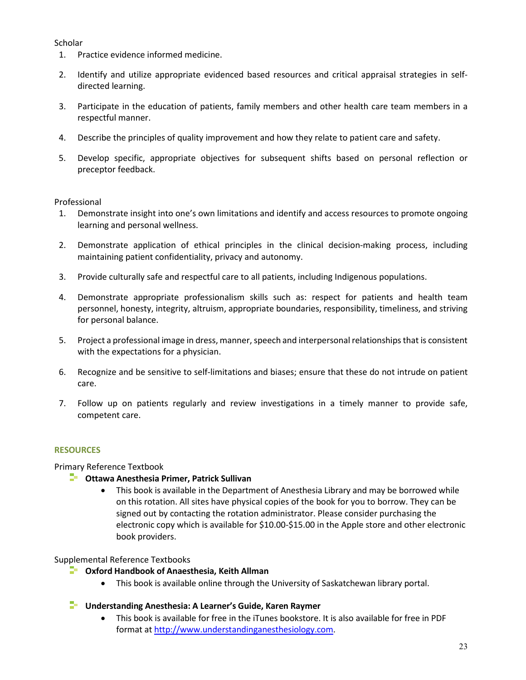# **Scholar**

- 1. Practice evidence informed medicine.
- 2. Identify and utilize appropriate evidenced based resources and critical appraisal strategies in selfdirected learning.
- 3. Participate in the education of patients, family members and other health care team members in a respectful manner.
- 4. Describe the principles of quality improvement and how they relate to patient care and safety.
- 5. Develop specific, appropriate objectives for subsequent shifts based on personal reflection or preceptor feedback.

## Professional

- 1. Demonstrate insight into one's own limitations and identify and access resources to promote ongoing learning and personal wellness.
- 2. Demonstrate application of ethical principles in the clinical decision-making process, including maintaining patient confidentiality, privacy and autonomy.
- 3. Provide culturally safe and respectful care to all patients, including Indigenous populations.
- 4. Demonstrate appropriate professionalism skills such as: respect for patients and health team personnel, honesty, integrity, altruism, appropriate boundaries, responsibility, timeliness, and striving for personal balance.
- 5. Project a professional image in dress, manner, speech and interpersonal relationships that is consistent with the expectations for a physician.
- 6. Recognize and be sensitive to self-limitations and biases; ensure that these do not intrude on patient care.
- 7. Follow up on patients regularly and review investigations in a timely manner to provide safe, competent care.

# **RESOURCES**

Primary Reference Textbook

- **Ottawa Anesthesia Primer, Patrick Sullivan** 
	- This book is available in the Department of Anesthesia Library and may be borrowed while on this rotation. All sites have physical copies of the book for you to borrow. They can be signed out by contacting the rotation administrator. Please consider purchasing the electronic copy which is available for \$10.00-\$15.00 in the Apple store and other electronic book providers.

# Supplemental Reference Textbooks

- **Oxford Handbook of Anaesthesia, Keith Allman** 
	- This book is available online through the University of Saskatchewan library portal.
- **Understanding Anesthesia: A Learner's Guide, Karen Raymer** 
	- This book is available for free in the iTunes bookstore. It is also available for free in PDF format a[t http://www.understandinganesthesiology.com.](http://www.understandinganesthesiology.com/)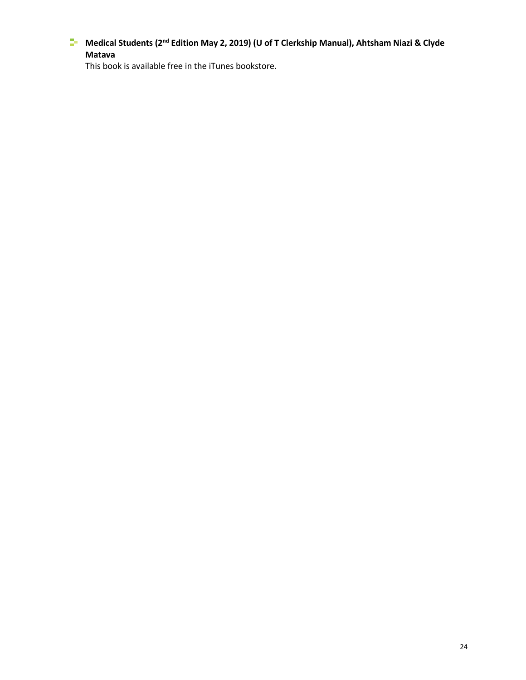**Medical Students (2nd Edition May 2, 2019) (U of T Clerkship Manual), Ahtsham Niazi & Clyde Matava** 

This book is available free in the iTunes bookstore.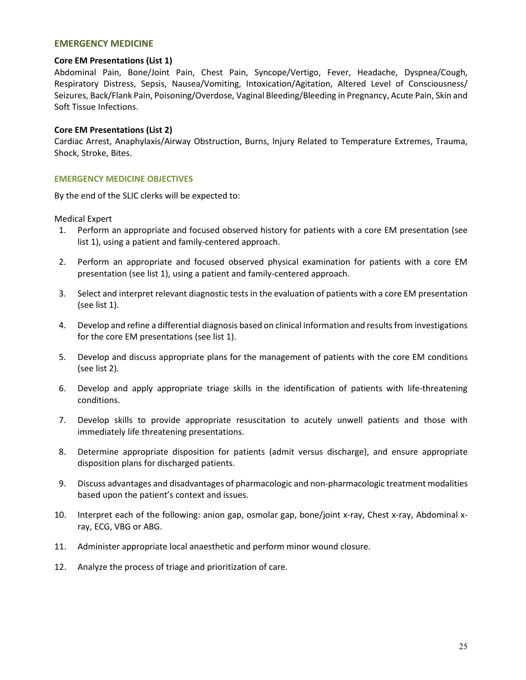#### **EMERGENCY MEDICINE**

#### **Core EM Presentations (List 1)**

Abdominal Pain, Bone/Joint Pain, Chest Pain, Syncope/Vertigo, Fever, Headache, Dyspnea/Cough, Respiratory Distress, Sepsis, Nausea/Vomiting, Intoxication/Agitation, Altered Level of Consciousness/ Seizures, Back/Flank Pain, Poisoning/Overdose, Vaginal Bleeding/Bleeding in Pregnancy, Acute Pain, Skin and Soft Tissue Infections.

#### **Core EM Presentations (List 2)**

Cardiac Arrest, Anaphylaxis/Airway Obstruction, Burns, Injury Related to Temperature Extremes, Trauma, Shock, Stroke, Bites.

#### **EMERGENCY MEDICINE OBJECTIVES**

By the end of the SLIC clerks will be expected to:

#### Medical Expert

- 1. Perform an appropriate and focused observed history for patients with a core EM presentation (see list 1), using a patient and family-centered approach.
- 2. Perform an appropriate and focused observed physical examination for patients with a core EM presentation (see list 1), using a patient and family-centered approach.
- 3. Select and interpret relevant diagnostic tests in the evaluation of patients with a core EM presentation (see list 1).
- 4. Develop and refine a differential diagnosis based on clinical information and results from investigations for the core EM presentations (see list 1).
- 5. Develop and discuss appropriate plans for the management of patients with the core EM conditions (see list 2).
- 6. Develop and apply appropriate triage skills in the identification of patients with life-threatening conditions.
- 7. Develop skills to provide appropriate resuscitation to acutely unwell patients and those with immediately life threatening presentations.
- 8. Determine appropriate disposition for patients (admit versus discharge), and ensure appropriate disposition plans for discharged patients.
- 9. Discuss advantages and disadvantages of pharmacologic and non-pharmacologic treatment modalities based upon the patient's context and issues.
- 10. Interpret each of the following: anion gap, osmolar gap, bone/joint x-ray, Chest x-ray, Abdominal xray, ECG, VBG or ABG.
- 11. Administer appropriate local anaesthetic and perform minor wound closure*.*
- 12. Analyze the process of triage and prioritization of care.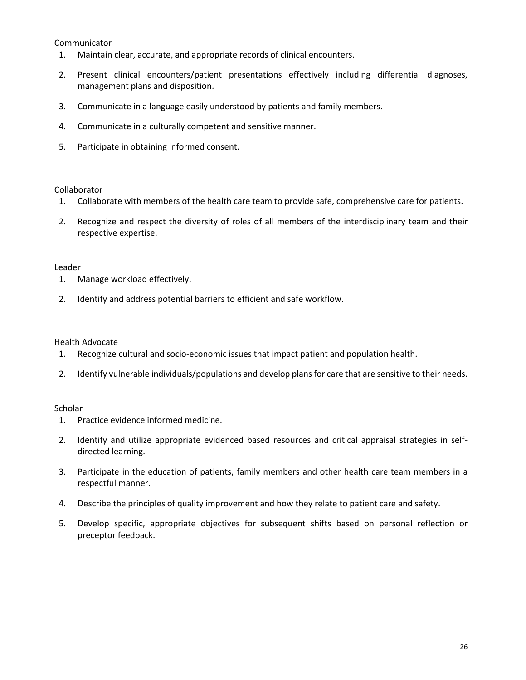#### Communicator

- 1. Maintain clear, accurate, and appropriate records of clinical encounters.
- 2. Present clinical encounters/patient presentations effectively including differential diagnoses, management plans and disposition.
- 3. Communicate in a language easily understood by patients and family members.
- 4. Communicate in a culturally competent and sensitive manner.
- 5. Participate in obtaining informed consent.

#### Collaborator

- 1. Collaborate with members of the health care team to provide safe, comprehensive care for patients.
- 2. Recognize and respect the diversity of roles of all members of the interdisciplinary team and their respective expertise.

#### Leader

- 1. Manage workload effectively.
- 2. Identify and address potential barriers to efficient and safe workflow.

## Health Advocate

- 1. Recognize cultural and socio-economic issues that impact patient and population health.
- 2. Identify vulnerable individuals/populations and develop plans for care that are sensitive to their needs.

## Scholar

- 1. Practice evidence informed medicine.
- 2. Identify and utilize appropriate evidenced based resources and critical appraisal strategies in selfdirected learning.
- 3. Participate in the education of patients, family members and other health care team members in a respectful manner.
- 4. Describe the principles of quality improvement and how they relate to patient care and safety.
- 5. Develop specific, appropriate objectives for subsequent shifts based on personal reflection or preceptor feedback.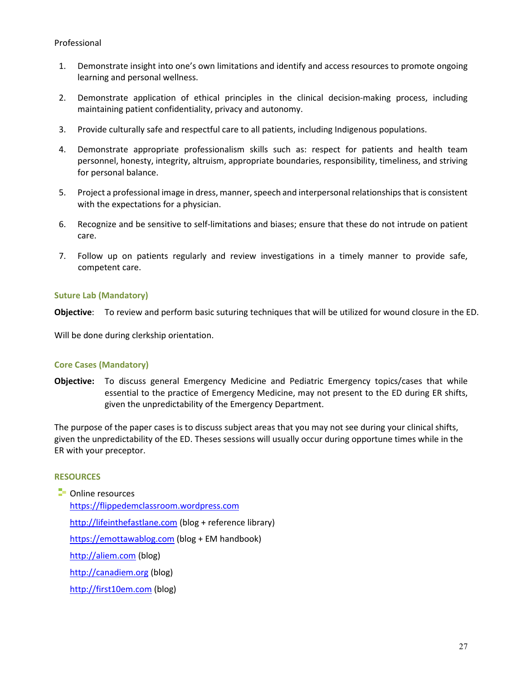## Professional

- 1. Demonstrate insight into one's own limitations and identify and access resources to promote ongoing learning and personal wellness.
- 2. Demonstrate application of ethical principles in the clinical decision-making process, including maintaining patient confidentiality, privacy and autonomy.
- 3. Provide culturally safe and respectful care to all patients, including Indigenous populations.
- 4. Demonstrate appropriate professionalism skills such as: respect for patients and health team personnel, honesty, integrity, altruism, appropriate boundaries, responsibility, timeliness, and striving for personal balance.
- 5. Project a professional image in dress, manner, speech and interpersonal relationships that is consistent with the expectations for a physician.
- 6. Recognize and be sensitive to self-limitations and biases; ensure that these do not intrude on patient care.
- 7. Follow up on patients regularly and review investigations in a timely manner to provide safe, competent care.

#### **Suture Lab (Mandatory)**

**Objective**: To review and perform basic suturing techniques that will be utilized for wound closure in the ED.

Will be done during clerkship orientation.

## **Core Cases (Mandatory)**

**Objective:** To discuss general Emergency Medicine and Pediatric Emergency topics/cases that while essential to the practice of Emergency Medicine, may not present to the ED during ER shifts, given the unpredictability of the Emergency Department.

The purpose of the paper cases is to discuss subject areas that you may not see during your clinical shifts, given the unpredictability of the ED. Theses sessions will usually occur during opportune times while in the ER with your preceptor.

#### **RESOURCES**

**D** Online resources [https://flippedemclassroom.wordpress.com](https://flippedemclassroom.wordpress.com/) [http://lifeinthefastlane.com](http://lifeinthefastlane.com/) (blog + reference library) [https://emottawablog.com](https://emottawablog.com/) (blog + EM handbook) [http://aliem.com \(](http://aliem.com/)blog) [http://canadiem.org](http://canadiem.org/) (blog)

[http://first10em.com](http://first10em.com/) (blog)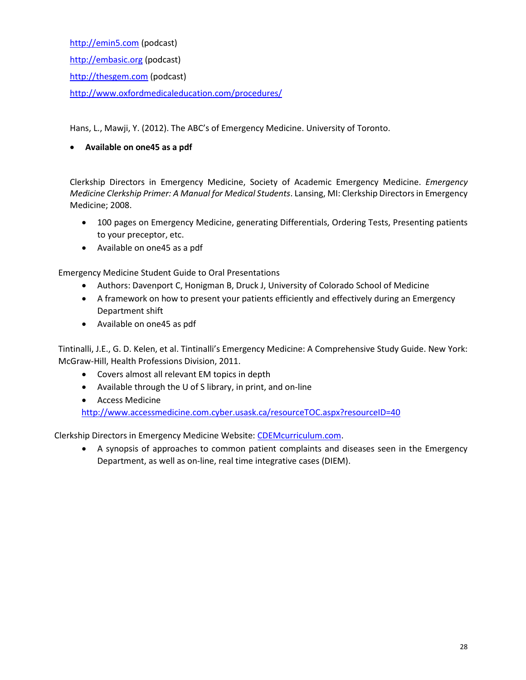[http://emin5.com](http://emin5.com/) (podcast) [http://embasic.org](http://embasic.org/) (podcast) [http://thesgem.com \(](http://thesgem.com/)podcast) <http://www.oxfordmedicaleducation.com/procedures/>

Hans, L., Mawji, Y. (2012). The ABC's of Emergency Medicine. University of Toronto.

# **Available on one45 as a pdf**

Clerkship Directors in Emergency Medicine, Society of Academic Emergency Medicine. *Emergency Medicine Clerkship Primer: A Manual for Medical Students*. Lansing, MI: Clerkship Directors in Emergency Medicine; 2008.

- 100 pages on Emergency Medicine, generating Differentials, Ordering Tests, Presenting patients to your preceptor, etc.
- Available on one45 as a pdf

Emergency Medicine Student Guide to Oral Presentations

- Authors: Davenport C, Honigman B, Druck J, University of Colorado School of Medicine
- A framework on how to present your patients efficiently and effectively during an Emergency Department shift
- Available on one45 as pdf

Tintinalli, J.E., G. D. Kelen, et al. Tintinalli's Emergency Medicine: A Comprehensive Study Guide. New York: McGraw-Hill, Health Professions Division, 2011.

- Covers almost all relevant EM topics in depth
- Available through the U of S library, in print, and on-line
- Access Medicine

<http://www.accessmedicine.com.cyber.usask.ca/resourceTOC.aspx?resourceID=40>

Clerkship Directors in Emergency Medicine Website[: CDEMcurriculum.com.](http://www.cdemcurriculum.com/)

 A synopsis of approaches to common patient complaints and diseases seen in the Emergency Department, as well as on-line, real time integrative cases (DIEM).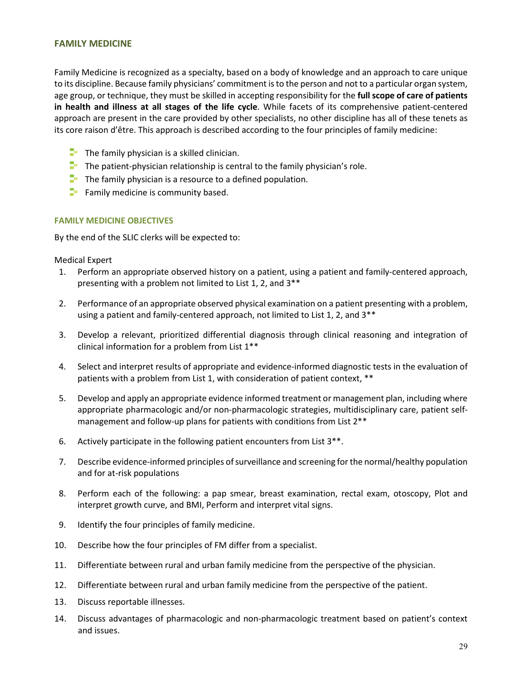#### **FAMILY MEDICINE**

Family Medicine is recognized as a specialty, based on a body of knowledge and an approach to care unique to its discipline. Because family physicians' commitment is to the person and not to a particular organ system, age group, or technique, they must be skilled in accepting responsibility for the **full scope of care of patients in health and illness at all stages of the life cycle**. While facets of its comprehensive patient-centered approach are present in the care provided by other specialists, no other discipline has all of these tenets as its core raison d'être. This approach is described according to the four principles of family medicine:

- $\Box$  The family physician is a skilled clinician.
- $\Box$  The patient-physician relationship is central to the family physician's role.
- $\Box$  The family physician is a resource to a defined population.
- $\blacksquare$  Family medicine is community based.

#### **FAMILY MEDICINE OBJECTIVES**

By the end of the SLIC clerks will be expected to:

Medical Expert

- 1. Perform an appropriate observed history on a patient, using a patient and family-centered approach, presenting with a problem not limited to List 1, 2, and 3\*\*
- 2. Performance of an appropriate observed physical examination on a patient presenting with a problem, using a patient and family-centered approach, not limited to List 1, 2, and 3\*\*
- 3. Develop a relevant, prioritized differential diagnosis through clinical reasoning and integration of clinical information for a problem from List 1\*\*
- 4. Select and interpret results of appropriate and evidence-informed diagnostic tests in the evaluation of patients with a problem from List 1, with consideration of patient context, \*\*
- 5. Develop and apply an appropriate evidence informed treatment or management plan, including where appropriate pharmacologic and/or non-pharmacologic strategies, multidisciplinary care, patient selfmanagement and follow-up plans for patients with conditions from List 2\*\*
- 6. Actively participate in the following patient encounters from List 3\*\*.
- 7. Describe evidence-informed principles of surveillance and screening for the normal/healthy population and for at-risk populations
- 8. Perform each of the following: a pap smear, breast examination, rectal exam, otoscopy, Plot and interpret growth curve, and BMI, Perform and interpret vital signs.
- 9. Identify the four principles of family medicine.
- 10. Describe how the four principles of FM differ from a specialist.
- 11. Differentiate between rural and urban family medicine from the perspective of the physician.
- 12. Differentiate between rural and urban family medicine from the perspective of the patient.
- 13. Discuss reportable illnesses.
- 14. Discuss advantages of pharmacologic and non-pharmacologic treatment based on patient's context and issues.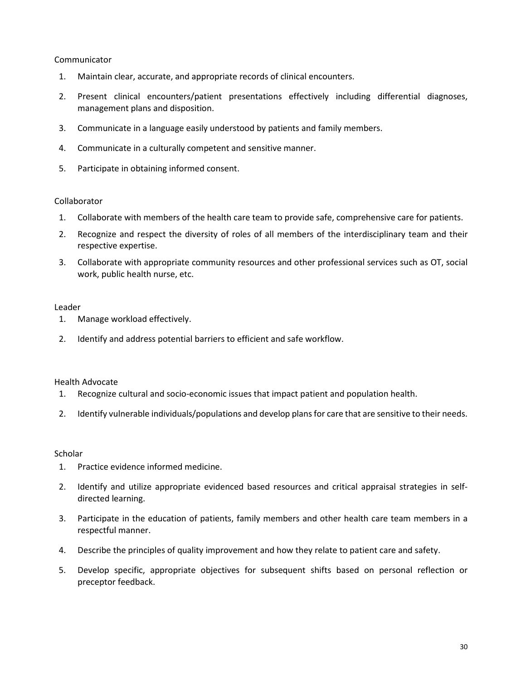## Communicator

- 1. Maintain clear, accurate, and appropriate records of clinical encounters.
- 2. Present clinical encounters/patient presentations effectively including differential diagnoses, management plans and disposition.
- 3. Communicate in a language easily understood by patients and family members.
- 4. Communicate in a culturally competent and sensitive manner.
- 5. Participate in obtaining informed consent.

## Collaborator

- 1. Collaborate with members of the health care team to provide safe, comprehensive care for patients.
- 2. Recognize and respect the diversity of roles of all members of the interdisciplinary team and their respective expertise.
- 3. Collaborate with appropriate community resources and other professional services such as OT, social work, public health nurse, etc.

## Leader

- 1. Manage workload effectively.
- 2. Identify and address potential barriers to efficient and safe workflow.

## Health Advocate

- 1. Recognize cultural and socio-economic issues that impact patient and population health.
- 2. Identify vulnerable individuals/populations and develop plans for care that are sensitive to their needs.

## **Scholar**

- 1. Practice evidence informed medicine.
- 2. Identify and utilize appropriate evidenced based resources and critical appraisal strategies in selfdirected learning.
- 3. Participate in the education of patients, family members and other health care team members in a respectful manner.
- 4. Describe the principles of quality improvement and how they relate to patient care and safety.
- 5. Develop specific, appropriate objectives for subsequent shifts based on personal reflection or preceptor feedback.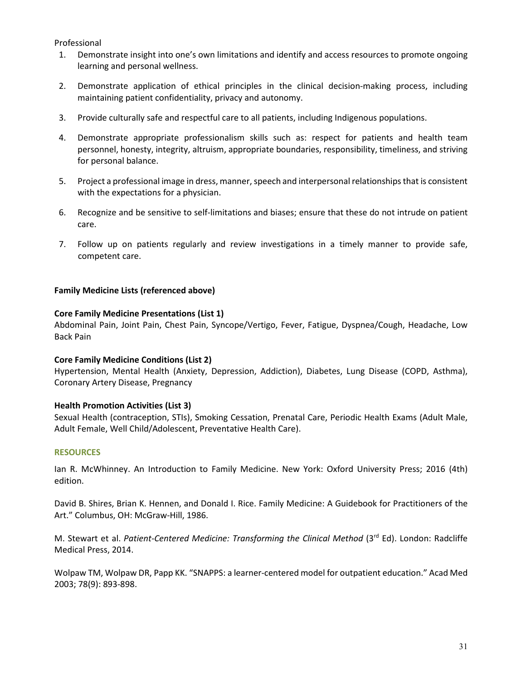Professional

- 1. Demonstrate insight into one's own limitations and identify and access resources to promote ongoing learning and personal wellness.
- 2. Demonstrate application of ethical principles in the clinical decision-making process, including maintaining patient confidentiality, privacy and autonomy.
- 3. Provide culturally safe and respectful care to all patients, including Indigenous populations.
- 4. Demonstrate appropriate professionalism skills such as: respect for patients and health team personnel, honesty, integrity, altruism, appropriate boundaries, responsibility, timeliness, and striving for personal balance.
- 5. Project a professional image in dress, manner, speech and interpersonal relationships that is consistent with the expectations for a physician.
- 6. Recognize and be sensitive to self-limitations and biases; ensure that these do not intrude on patient care.
- 7. Follow up on patients regularly and review investigations in a timely manner to provide safe, competent care.

## **Family Medicine Lists (referenced above)**

## **Core Family Medicine Presentations (List 1)**

Abdominal Pain, Joint Pain, Chest Pain, Syncope/Vertigo, Fever, Fatigue, Dyspnea/Cough, Headache, Low Back Pain

## **Core Family Medicine Conditions (List 2)**

Hypertension, Mental Health (Anxiety, Depression, Addiction), Diabetes, Lung Disease (COPD, Asthma), Coronary Artery Disease, Pregnancy

# **Health Promotion Activities (List 3)**

Sexual Health (contraception, STIs), Smoking Cessation, Prenatal Care, Periodic Health Exams (Adult Male, Adult Female, Well Child/Adolescent, Preventative Health Care).

## **RESOURCES**

Ian R. McWhinney. An Introduction to Family Medicine. New York: Oxford University Press; 2016 (4th) edition.

David B. Shires, Brian K. Hennen, and Donald I. Rice. Family Medicine: A Guidebook for Practitioners of the Art." Columbus, OH: McGraw-Hill, 1986.

M. Stewart et al. Patient-Centered Medicine: Transforming the Clinical Method (3<sup>rd</sup> Ed). London: Radcliffe Medical Press, 2014.

Wolpaw TM, Wolpaw DR, Papp KK. "SNAPPS: a learner-centered model for outpatient education." Acad Med 2003; 78(9): 893-898.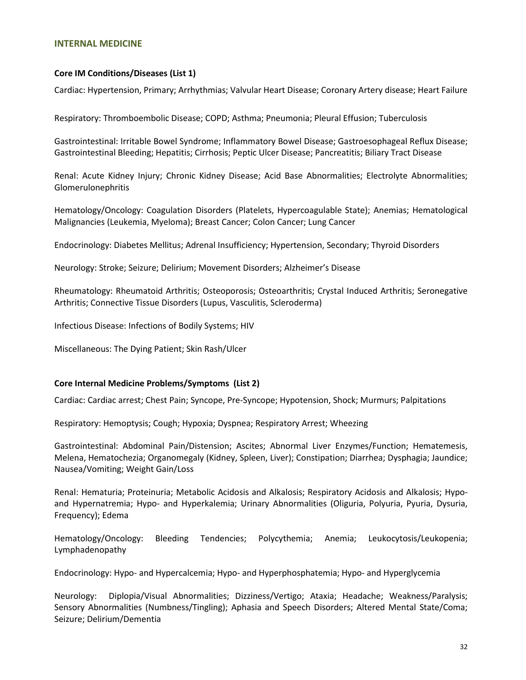#### **INTERNAL MEDICINE**

#### **Core IM Conditions/Diseases (List 1)**

Cardiac: Hypertension, Primary; Arrhythmias; Valvular Heart Disease; Coronary Artery disease; Heart Failure

Respiratory: Thromboembolic Disease; COPD; Asthma; Pneumonia; Pleural Effusion; Tuberculosis

Gastrointestinal: Irritable Bowel Syndrome; Inflammatory Bowel Disease; Gastroesophageal Reflux Disease; Gastrointestinal Bleeding; Hepatitis; Cirrhosis; Peptic Ulcer Disease; Pancreatitis; Biliary Tract Disease

Renal: Acute Kidney Injury; Chronic Kidney Disease; Acid Base Abnormalities; Electrolyte Abnormalities; Glomerulonephritis

Hematology/Oncology: Coagulation Disorders (Platelets, Hypercoagulable State); Anemias; Hematological Malignancies (Leukemia, Myeloma); Breast Cancer; Colon Cancer; Lung Cancer

Endocrinology: Diabetes Mellitus; Adrenal Insufficiency; Hypertension, Secondary; Thyroid Disorders

Neurology: Stroke; Seizure; Delirium; Movement Disorders; Alzheimer's Disease

Rheumatology: Rheumatoid Arthritis; Osteoporosis; Osteoarthritis; Crystal Induced Arthritis; Seronegative Arthritis; Connective Tissue Disorders (Lupus, Vasculitis, Scleroderma)

Infectious Disease: Infections of Bodily Systems; HIV

Miscellaneous: The Dying Patient; Skin Rash/Ulcer

#### **Core Internal Medicine Problems/Symptoms (List 2)**

Cardiac: Cardiac arrest; Chest Pain; Syncope, Pre-Syncope; Hypotension, Shock; Murmurs; Palpitations

Respiratory: Hemoptysis; Cough; Hypoxia; Dyspnea; Respiratory Arrest; Wheezing

Gastrointestinal: Abdominal Pain/Distension; Ascites; Abnormal Liver Enzymes/Function; Hematemesis, Melena, Hematochezia; Organomegaly (Kidney, Spleen, Liver); Constipation; Diarrhea; Dysphagia; Jaundice; Nausea/Vomiting; Weight Gain/Loss

Renal: Hematuria; Proteinuria; Metabolic Acidosis and Alkalosis; Respiratory Acidosis and Alkalosis; Hypoand Hypernatremia; Hypo- and Hyperkalemia; Urinary Abnormalities (Oliguria, Polyuria, Pyuria, Dysuria, Frequency); Edema

Hematology/Oncology: Bleeding Tendencies; Polycythemia; Anemia; Leukocytosis/Leukopenia; Lymphadenopathy

Endocrinology: Hypo- and Hypercalcemia; Hypo- and Hyperphosphatemia; Hypo- and Hyperglycemia

Neurology: Diplopia/Visual Abnormalities; Dizziness/Vertigo; Ataxia; Headache; Weakness/Paralysis; Sensory Abnormalities (Numbness/Tingling); Aphasia and Speech Disorders; Altered Mental State/Coma; Seizure; Delirium/Dementia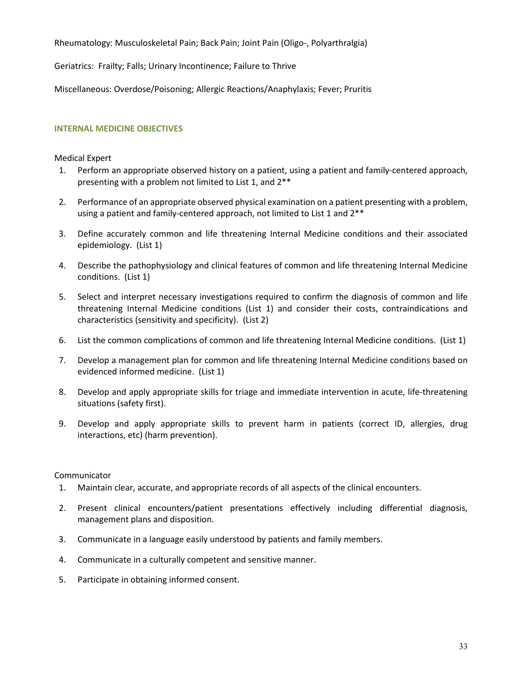Rheumatology: Musculoskeletal Pain; Back Pain; Joint Pain (Oligo-, Polyarthralgia)

Geriatrics: Frailty; Falls; Urinary Incontinence; Failure to Thrive

Miscellaneous: Overdose/Poisoning; Allergic Reactions/Anaphylaxis; Fever; Pruritis

## **INTERNAL MEDICINE OBJECTIVES**

# Medical Expert

- 1. Perform an appropriate observed history on a patient, using a patient and family-centered approach, presenting with a problem not limited to List 1, and 2\*\*
- 2. Performance of an appropriate observed physical examination on a patient presenting with a problem, using a patient and family-centered approach, not limited to List 1 and 2\*\*
- 3. Define accurately common and life threatening Internal Medicine conditions and their associated epidemiology. (List 1)
- 4. Describe the pathophysiology and clinical features of common and life threatening Internal Medicine conditions. (List 1)
- 5. Select and interpret necessary investigations required to confirm the diagnosis of common and life threatening Internal Medicine conditions (List 1) and consider their costs, contraindications and characteristics (sensitivity and specificity). (List 2)
- 6. List the common complications of common and life threatening Internal Medicine conditions. (List 1)
- 7. Develop a management plan for common and life threatening Internal Medicine conditions based on evidenced informed medicine. (List 1)
- 8. Develop and apply appropriate skills for triage and immediate intervention in acute, life-threatening situations (safety first).
- 9. Develop and apply appropriate skills to prevent harm in patients (correct ID, allergies, drug interactions, etc) (harm prevention).

## Communicator

- 1. Maintain clear, accurate, and appropriate records of all aspects of the clinical encounters.
- 2. Present clinical encounters/patient presentations effectively including differential diagnosis, management plans and disposition.
- 3. Communicate in a language easily understood by patients and family members.
- 4. Communicate in a culturally competent and sensitive manner.
- 5. Participate in obtaining informed consent.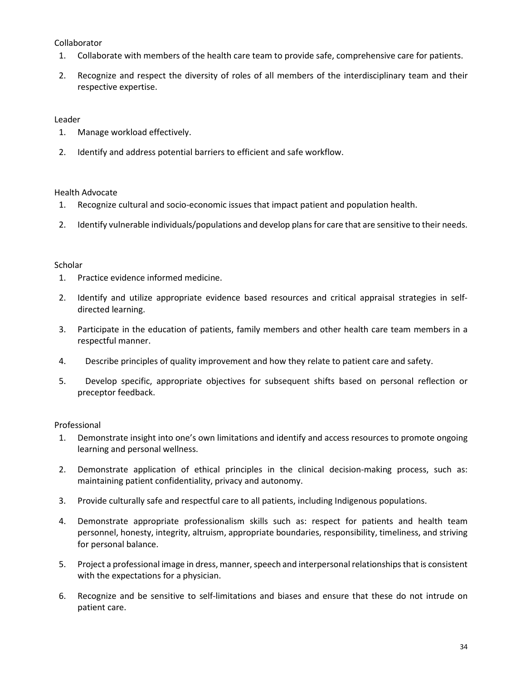# Collaborator

- 1. Collaborate with members of the health care team to provide safe, comprehensive care for patients.
- 2. Recognize and respect the diversity of roles of all members of the interdisciplinary team and their respective expertise.

# Leader

- 1. Manage workload effectively.
- 2. Identify and address potential barriers to efficient and safe workflow.

## Health Advocate

- 1. Recognize cultural and socio-economic issues that impact patient and population health.
- 2. Identify vulnerable individuals/populations and develop plans for care that are sensitive to their needs.

## **Scholar**

- 1. Practice evidence informed medicine.
- 2. Identify and utilize appropriate evidence based resources and critical appraisal strategies in selfdirected learning.
- 3. Participate in the education of patients, family members and other health care team members in a respectful manner.
- 4. Describe principles of quality improvement and how they relate to patient care and safety.
- 5. Develop specific, appropriate objectives for subsequent shifts based on personal reflection or preceptor feedback.

## Professional

- 1. Demonstrate insight into one's own limitations and identify and access resources to promote ongoing learning and personal wellness.
- 2. Demonstrate application of ethical principles in the clinical decision-making process, such as: maintaining patient confidentiality, privacy and autonomy.
- 3. Provide culturally safe and respectful care to all patients, including Indigenous populations.
- 4. Demonstrate appropriate professionalism skills such as: respect for patients and health team personnel, honesty, integrity, altruism, appropriate boundaries, responsibility, timeliness, and striving for personal balance.
- 5. Project a professional image in dress, manner, speech and interpersonal relationships that is consistent with the expectations for a physician.
- 6. Recognize and be sensitive to self-limitations and biases and ensure that these do not intrude on patient care.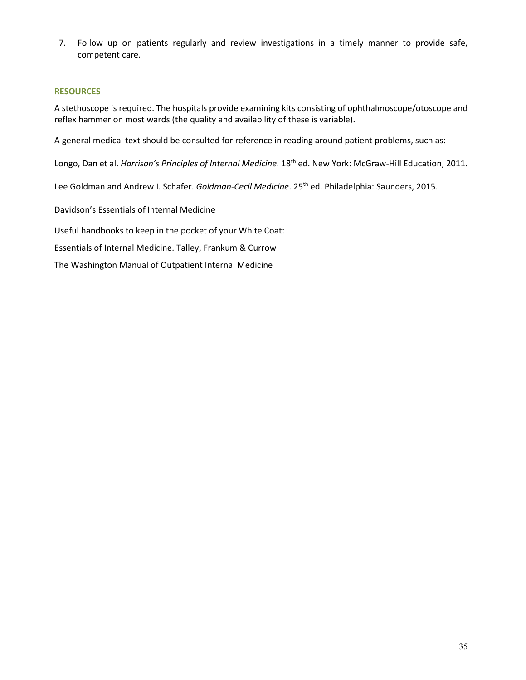7. Follow up on patients regularly and review investigations in a timely manner to provide safe, competent care.

#### **RESOURCES**

A stethoscope is required. The hospitals provide examining kits consisting of ophthalmoscope/otoscope and reflex hammer on most wards (the quality and availability of these is variable).

A general medical text should be consulted for reference in reading around patient problems, such as:

Longo, Dan et al. *Harrison's Principles of Internal Medicine*. 18<sup>th</sup> ed. New York: McGraw-Hill Education, 2011.

Lee Goldman and Andrew I. Schafer. *Goldman-Cecil Medicine*. 25th ed. Philadelphia: Saunders, 2015.

Davidson's Essentials of Internal Medicine

Useful handbooks to keep in the pocket of your White Coat:

Essentials of Internal Medicine. Talley, Frankum & Currow

The Washington Manual of Outpatient Internal Medicine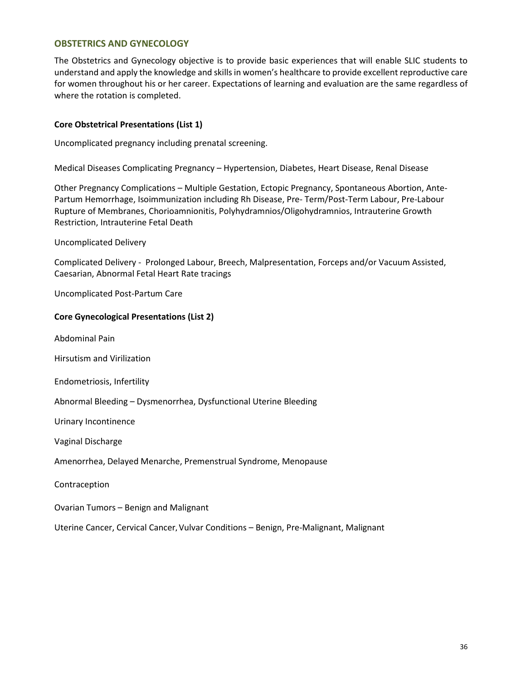## **OBSTETRICS AND GYNECOLOGY**

The Obstetrics and Gynecology objective is to provide basic experiences that will enable SLIC students to understand and apply the knowledge and skills in women's healthcare to provide excellent reproductive care for women throughout his or her career. Expectations of learning and evaluation are the same regardless of where the rotation is completed.

## **Core Obstetrical Presentations (List 1)**

Uncomplicated pregnancy including prenatal screening.

Medical Diseases Complicating Pregnancy – Hypertension, Diabetes, Heart Disease, Renal Disease

Other Pregnancy Complications – Multiple Gestation, Ectopic Pregnancy, Spontaneous Abortion, Ante-Partum Hemorrhage, Isoimmunization including Rh Disease, Pre- Term/Post-Term Labour, Pre-Labour Rupture of Membranes, Chorioamnionitis, Polyhydramnios/Oligohydramnios, Intrauterine Growth Restriction, Intrauterine Fetal Death

#### Uncomplicated Delivery

Complicated Delivery - Prolonged Labour, Breech, Malpresentation, Forceps and/or Vacuum Assisted, Caesarian, Abnormal Fetal Heart Rate tracings

Uncomplicated Post-Partum Care

#### **Core Gynecological Presentations (List 2)**

Abdominal Pain

Hirsutism and Virilization

Endometriosis, Infertility

Abnormal Bleeding – Dysmenorrhea, Dysfunctional Uterine Bleeding

Urinary Incontinence

Vaginal Discharge

Amenorrhea, Delayed Menarche, Premenstrual Syndrome, Menopause

Contraception

Ovarian Tumors – Benign and Malignant

Uterine Cancer, Cervical Cancer**,** Vulvar Conditions – Benign, Pre-Malignant, Malignant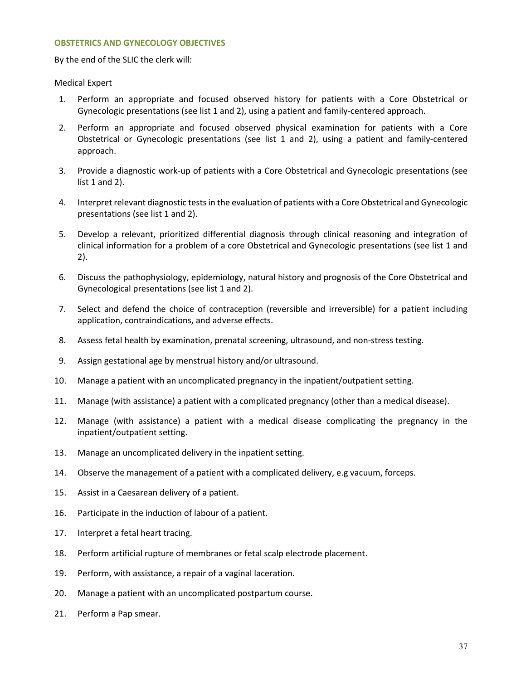#### **OBSTETRICS AND GYNECOLOGY OBJECTIVES**

By the end of the SLIC the clerk will:

#### Medical Expert

- 1. Perform an appropriate and focused observed history for patients with a Core Obstetrical or Gynecologic presentations (see list 1 and 2), using a patient and family-centered approach.
- 2. Perform an appropriate and focused observed physical examination for patients with a Core Obstetrical or Gynecologic presentations (see list 1 and 2), using a patient and family-centered approach.
- 3. Provide a diagnostic work-up of patients with a Core Obstetrical and Gynecologic presentations (see list 1 and 2).
- 4. Interpret relevant diagnostic tests in the evaluation of patients with a Core Obstetrical and Gynecologic presentations (see list 1 and 2).
- 5. Develop a relevant, prioritized differential diagnosis through clinical reasoning and integration of clinical information for a problem of a core Obstetrical and Gynecologic presentations (see list 1 and 2).
- 6. Discuss the pathophysiology, epidemiology, natural history and prognosis of the Core Obstetrical and Gynecological presentations (see list 1 and 2).
- 7. Select and defend the choice of contraception (reversible and irreversible) for a patient including application, contraindications, and adverse effects.
- 8. Assess fetal health by examination, prenatal screening, ultrasound, and non-stress testing*.*
- 9. Assign gestational age by menstrual history and/or ultrasound.
- 10. Manage a patient with an uncomplicated pregnancy in the inpatient/outpatient setting.
- 11. Manage (with assistance) a patient with a complicated pregnancy (other than a medical disease).
- 12. Manage (with assistance) a patient with a medical disease complicating the pregnancy in the inpatient/outpatient setting.
- 13. Manage an uncomplicated delivery in the inpatient setting.
- 14. Observe the management of a patient with a complicated delivery, e.g vacuum, forceps.
- 15. Assist in a Caesarean delivery of a patient.
- 16. Participate in the induction of labour of a patient.
- 17. Interpret a fetal heart tracing.
- 18. Perform artificial rupture of membranes or fetal scalp electrode placement.
- 19. Perform, with assistance, a repair of a vaginal laceration.
- 20. Manage a patient with an uncomplicated postpartum course.
- 21. Perform a Pap smear.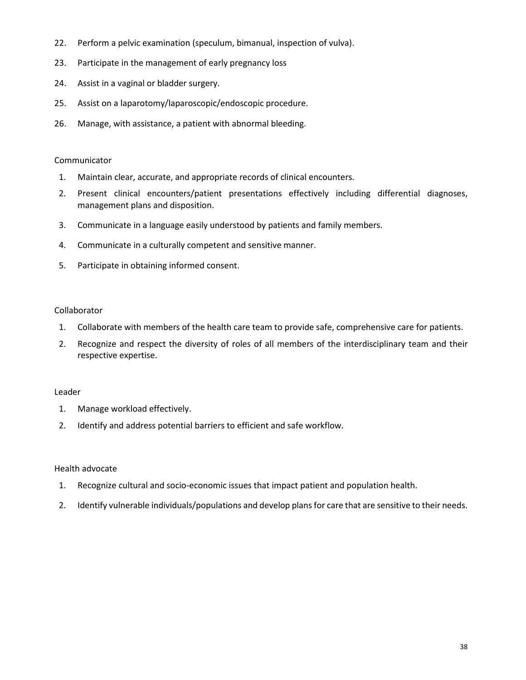- 22. Perform a pelvic examination (speculum, bimanual, inspection of vulva).
- 23. Participate in the management of early pregnancy loss
- 24. Assist in a vaginal or bladder surgery.
- 25. Assist on a laparotomy/laparoscopic/endoscopic procedure.
- 26. Manage, with assistance, a patient with abnormal bleeding.

## Communicator

- 1. Maintain clear, accurate, and appropriate records of clinical encounters.
- 2. Present clinical encounters/patient presentations effectively including differential diagnoses, management plans and disposition.
- 3. Communicate in a language easily understood by patients and family members.
- 4. Communicate in a culturally competent and sensitive manner.
- 5. Participate in obtaining informed consent.

#### Collaborator

- 1. Collaborate with members of the health care team to provide safe, comprehensive care for patients.
- 2. Recognize and respect the diversity of roles of all members of the interdisciplinary team and their respective expertise.

## Leader

- 1. Manage workload effectively.
- 2. Identify and address potential barriers to efficient and safe workflow.

## Health advocate

- 1. Recognize cultural and socio-economic issues that impact patient and population health.
- 2. Identify vulnerable individuals/populations and develop plans for care that are sensitive to their needs.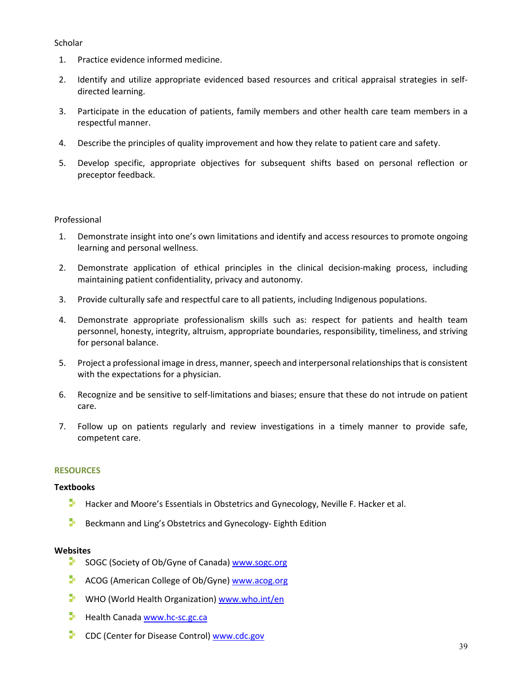## **Scholar**

- 1. Practice evidence informed medicine.
- 2. Identify and utilize appropriate evidenced based resources and critical appraisal strategies in selfdirected learning.
- 3. Participate in the education of patients, family members and other health care team members in a respectful manner.
- 4. Describe the principles of quality improvement and how they relate to patient care and safety.
- 5. Develop specific, appropriate objectives for subsequent shifts based on personal reflection or preceptor feedback.

## Professional

- 1. Demonstrate insight into one's own limitations and identify and access resources to promote ongoing learning and personal wellness.
- 2. Demonstrate application of ethical principles in the clinical decision-making process, including maintaining patient confidentiality, privacy and autonomy.
- 3. Provide culturally safe and respectful care to all patients, including Indigenous populations.
- 4. Demonstrate appropriate professionalism skills such as: respect for patients and health team personnel, honesty, integrity, altruism, appropriate boundaries, responsibility, timeliness, and striving for personal balance.
- 5. Project a professional image in dress, manner, speech and interpersonal relationships that is consistent with the expectations for a physician.
- 6. Recognize and be sensitive to self-limitations and biases; ensure that these do not intrude on patient care.
- 7. Follow up on patients regularly and review investigations in a timely manner to provide safe, competent care.

## **RESOURCES**

## **Textbooks**

- $\blacksquare$  Hacker and Moore's Essentials in Obstetrics and Gynecology, Neville F. Hacker et al.
- ÷. Beckmann and Ling's Obstetrics and Gynecology- Eighth Edition

## **Websites**

- SOGC (Society of Ob/Gyne of Canada) www.sogc.org
- P. ACOG (American College of Ob/Gyne) [www.acog.org](http://www.acog.org/)
- ÷. WHO (World Health Organization) www.who.int/en
- Health Canada www.hc-sc.gc.ca
- Þ. CDC (Center for Disease Control[\) www.cdc.gov](http://www.cdc.gov/)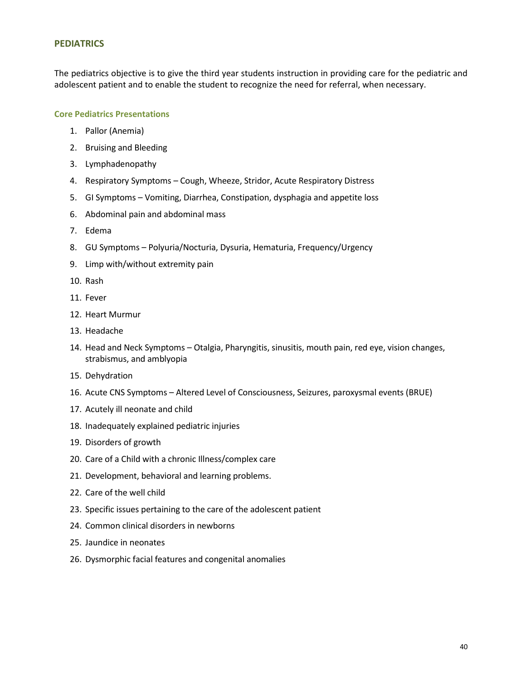### **PEDIATRICS**

The pediatrics objective is to give the third year students instruction in providing care for the pediatric and adolescent patient and to enable the student to recognize the need for referral, when necessary.

# **Core Pediatrics Presentations**

- 1. Pallor (Anemia)
- 2. Bruising and Bleeding
- 3. Lymphadenopathy
- 4. Respiratory Symptoms Cough, Wheeze, Stridor, Acute Respiratory Distress
- 5. GI Symptoms Vomiting, Diarrhea, Constipation, dysphagia and appetite loss
- 6. Abdominal pain and abdominal mass
- 7. Edema
- 8. GU Symptoms Polyuria/Nocturia, Dysuria, Hematuria, Frequency/Urgency
- 9. Limp with/without extremity pain
- 10. Rash
- 11. Fever
- 12. Heart Murmur
- 13. Headache
- 14. Head and Neck Symptoms Otalgia, Pharyngitis, sinusitis, mouth pain, red eye, vision changes, strabismus, and amblyopia
- 15. Dehydration
- 16. Acute CNS Symptoms Altered Level of Consciousness, Seizures, paroxysmal events (BRUE)
- 17. Acutely ill neonate and child
- 18. Inadequately explained pediatric injuries
- 19. Disorders of growth
- 20. Care of a Child with a chronic Illness/complex care
- 21. Development, behavioral and learning problems.
- 22. Care of the well child
- 23. Specific issues pertaining to the care of the adolescent patient
- 24. Common clinical disorders in newborns
- 25. Jaundice in neonates
- 26. Dysmorphic facial features and congenital anomalies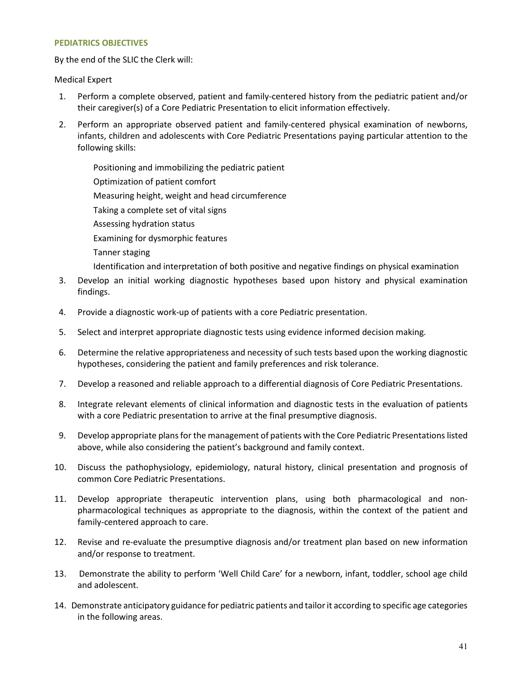#### **PEDIATRICS OBJECTIVES**

By the end of the SLIC the Clerk will:

## Medical Expert

- 1. Perform a complete observed, patient and family-centered history from the pediatric patient and/or their caregiver(s) of a Core Pediatric Presentation to elicit information effectively.
- 2. Perform an appropriate observed patient and family-centered physical examination of newborns, infants, children and adolescents with Core Pediatric Presentations paying particular attention to the following skills:

Positioning and immobilizing the pediatric patient Optimization of patient comfort Measuring height, weight and head circumference Taking a complete set of vital signs Assessing hydration status Examining for dysmorphic features Tanner staging Identification and interpretation of both positive and negative findings on physical examination

- 3. Develop an initial working diagnostic hypotheses based upon history and physical examination findings.
- 4. Provide a diagnostic work-up of patients with a core Pediatric presentation.
- 5. Select and interpret appropriate diagnostic tests using evidence informed decision making*.*
- 6. Determine the relative appropriateness and necessity of such tests based upon the working diagnostic hypotheses, considering the patient and family preferences and risk tolerance.
- 7. Develop a reasoned and reliable approach to a differential diagnosis of Core Pediatric Presentations.
- 8. Integrate relevant elements of clinical information and diagnostic tests in the evaluation of patients with a core Pediatric presentation to arrive at the final presumptive diagnosis.
- 9. Develop appropriate plans for the management of patients with the Core Pediatric Presentations listed above, while also considering the patient's background and family context.
- 10. Discuss the pathophysiology, epidemiology, natural history, clinical presentation and prognosis of common Core Pediatric Presentations.
- 11. Develop appropriate therapeutic intervention plans, using both pharmacological and nonpharmacological techniques as appropriate to the diagnosis, within the context of the patient and family-centered approach to care.
- 12. Revise and re-evaluate the presumptive diagnosis and/or treatment plan based on new information and/or response to treatment.
- 13. Demonstrate the ability to perform 'Well Child Care' for a newborn, infant, toddler, school age child and adolescent.
- 14. Demonstrate anticipatory guidance for pediatric patients and tailor it according to specific age categories in the following areas.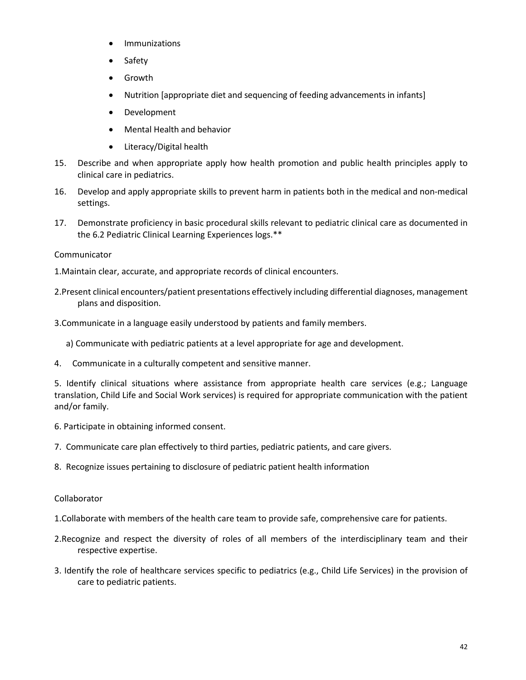- **•** Immunizations
- Safety
- Growth
- Nutrition [appropriate diet and sequencing of feeding advancements in infants]
- Development
- Mental Health and behavior
- Literacy/Digital health
- 15. Describe and when appropriate apply how health promotion and public health principles apply to clinical care in pediatrics.
- 16. Develop and apply appropriate skills to prevent harm in patients both in the medical and non-medical settings.
- 17. Demonstrate proficiency in basic procedural skills relevant to pediatric clinical care as documented in the 6.2 Pediatric Clinical Learning Experiences logs.\*\*

# Communicator

- 1.Maintain clear, accurate, and appropriate records of clinical encounters.
- 2.Present clinical encounters/patient presentations effectively including differential diagnoses, management plans and disposition.
- 3.Communicate in a language easily understood by patients and family members.
	- a) Communicate with pediatric patients at a level appropriate for age and development.
- 4. Communicate in a culturally competent and sensitive manner.

5. Identify clinical situations where assistance from appropriate health care services (e.g.; Language translation, Child Life and Social Work services) is required for appropriate communication with the patient and/or family.

- 6. Participate in obtaining informed consent.
- 7. Communicate care plan effectively to third parties, pediatric patients, and care givers.
- 8. Recognize issues pertaining to disclosure of pediatric patient health information

## Collaborator

1.Collaborate with members of the health care team to provide safe, comprehensive care for patients.

- 2.Recognize and respect the diversity of roles of all members of the interdisciplinary team and their respective expertise.
- 3. Identify the role of healthcare services specific to pediatrics (e.g., Child Life Services) in the provision of care to pediatric patients.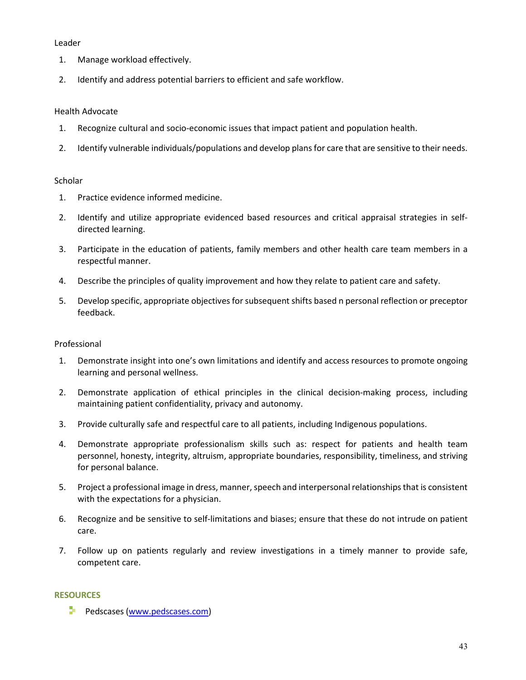#### Leader

- 1. Manage workload effectively.
- 2. Identify and address potential barriers to efficient and safe workflow.

# Health Advocate

- 1. Recognize cultural and socio-economic issues that impact patient and population health.
- 2. Identify vulnerable individuals/populations and develop plans for care that are sensitive to their needs.

## **Scholar**

- 1. Practice evidence informed medicine.
- 2. Identify and utilize appropriate evidenced based resources and critical appraisal strategies in selfdirected learning.
- 3. Participate in the education of patients, family members and other health care team members in a respectful manner.
- 4. Describe the principles of quality improvement and how they relate to patient care and safety.
- 5. Develop specific, appropriate objectives for subsequent shifts based n personal reflection or preceptor feedback.

## Professional

- 1. Demonstrate insight into one's own limitations and identify and access resources to promote ongoing learning and personal wellness.
- 2. Demonstrate application of ethical principles in the clinical decision-making process, including maintaining patient confidentiality, privacy and autonomy.
- 3. Provide culturally safe and respectful care to all patients, including Indigenous populations.
- 4. Demonstrate appropriate professionalism skills such as: respect for patients and health team personnel, honesty, integrity, altruism, appropriate boundaries, responsibility, timeliness, and striving for personal balance.
- 5. Project a professional image in dress, manner, speech and interpersonal relationships that is consistent with the expectations for a physician.
- 6. Recognize and be sensitive to self-limitations and biases; ensure that these do not intrude on patient care.
- 7. Follow up on patients regularly and review investigations in a timely manner to provide safe, competent care.

# **RESOURCES**

Pedscases [\(www.pedscases.com\)](http://www.pedscases.com/)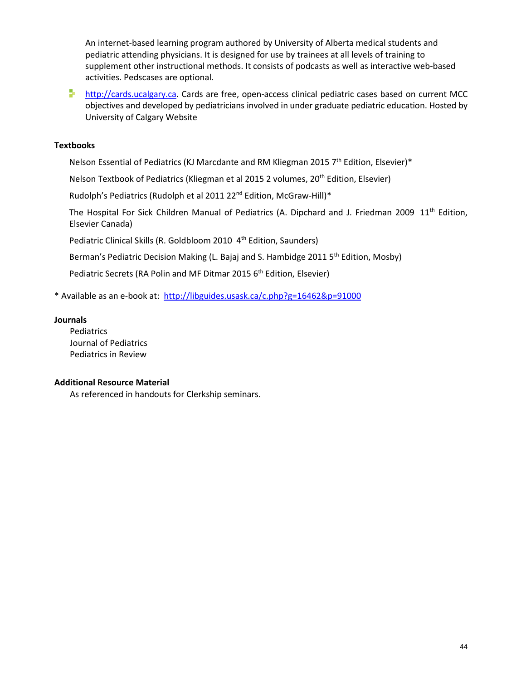An internet-based learning program authored by University of Alberta medical students and pediatric attending physicians. It is designed for use by trainees at all levels of training to supplement other instructional methods. It consists of podcasts as well as interactive web-based activities. Pedscases are optional.

**[http://cards.ucalgary.ca.](http://cards.ucalgary.ca/)** Cards are free, open-access clinical pediatric cases based on current MCC objectives and developed by pediatricians involved in under graduate pediatric education. Hosted by University of Calgary Website

# **Textbooks**

Nelson Essential of Pediatrics (KJ Marcdante and RM Kliegman 2015 7<sup>th</sup> Edition, Elsevier)\*

Nelson Textbook of Pediatrics (Kliegman et al 2015 2 volumes, 20<sup>th</sup> Edition, Elsevier)

Rudolph's Pediatrics (Rudolph et al 2011 22<sup>nd</sup> Edition, McGraw-Hill)\*

The Hospital For Sick Children Manual of Pediatrics (A. Dipchard and J. Friedman 2009 11<sup>th</sup> Edition, Elsevier Canada)

Pediatric Clinical Skills (R. Goldbloom 2010 4<sup>th</sup> Edition, Saunders)

Berman's Pediatric Decision Making (L. Bajaj and S. Hambidge 2011 5<sup>th</sup> Edition, Mosby)

Pediatric Secrets (RA Polin and MF Ditmar 2015 6<sup>th</sup> Edition, Elsevier)

\* Available as an e-book at:<http://libguides.usask.ca/c.php?g=16462&p=91000>

#### **Journals**

Pediatrics Journal of Pediatrics Pediatrics in Review

## **Additional Resource Material**

As referenced in handouts for Clerkship seminars.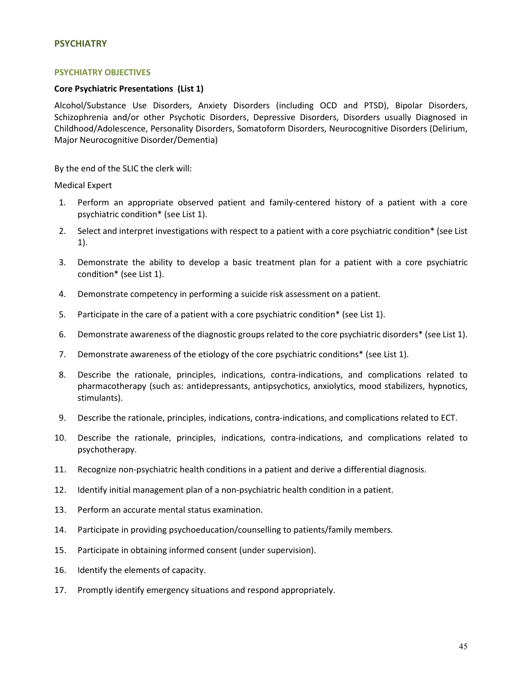#### **PSYCHIATRY**

#### **PSYCHIATRY OBJECTIVES**

#### **Core Psychiatric Presentations (List 1)**

Alcohol/Substance Use Disorders, Anxiety Disorders (including OCD and PTSD), Bipolar Disorders, Schizophrenia and/or other Psychotic Disorders, Depressive Disorders, Disorders usually Diagnosed in Childhood/Adolescence, Personality Disorders, Somatoform Disorders, Neurocognitive Disorders (Delirium, Major Neurocognitive Disorder/Dementia)

By the end of the SLIC the clerk will:

Medical Expert

- 1. Perform an appropriate observed patient and family-centered history of a patient with a core psychiatric condition\* (see List 1).
- 2. Select and interpret investigations with respect to a patient with a core psychiatric condition\* (see List 1).
- 3. Demonstrate the ability to develop a basic treatment plan for a patient with a core psychiatric condition\* (see List 1).
- 4. Demonstrate competency in performing a suicide risk assessment on a patient*.*
- 5. Participate in the care of a patient with a core psychiatric condition\* (see List 1).
- 6. Demonstrate awareness of the diagnostic groups related to the core psychiatric disorders\* (see List 1).
- 7. Demonstrate awareness of the etiology of the core psychiatric conditions\* (see List 1).
- 8. Describe the rationale, principles, indications, contra-indications, and complications related to pharmacotherapy (such as: antidepressants, antipsychotics, anxiolytics, mood stabilizers, hypnotics, stimulants).
- 9. Describe the rationale, principles, indications, contra-indications, and complications related to ECT.
- 10. Describe the rationale, principles, indications, contra-indications, and complications related to psychotherapy.
- 11. Recognize non-psychiatric health conditions in a patient and derive a differential diagnosis.
- 12. Identify initial management plan of a non-psychiatric health condition in a patient.
- 13. Perform an accurate mental status examination.
- 14. Participate in providing psychoeducation/counselling to patients/family members.
- 15. Participate in obtaining informed consent (under supervision).
- 16. Identify the elements of capacity.
- 17. Promptly identify emergency situations and respond appropriately.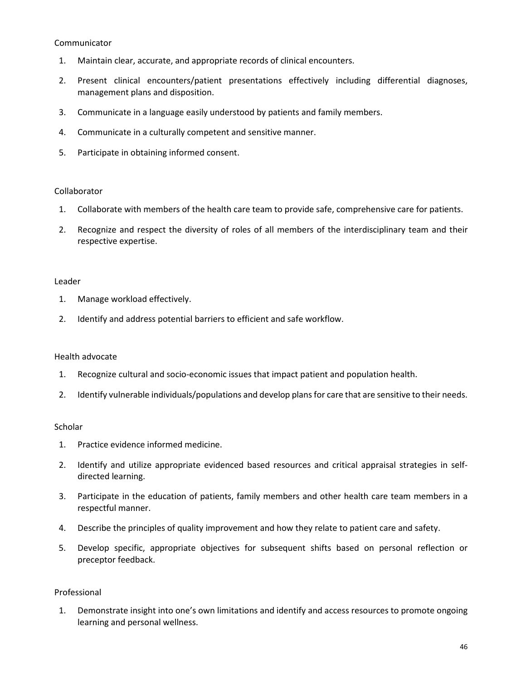#### Communicator

- 1. Maintain clear, accurate, and appropriate records of clinical encounters.
- 2. Present clinical encounters/patient presentations effectively including differential diagnoses, management plans and disposition.
- 3. Communicate in a language easily understood by patients and family members.
- 4. Communicate in a culturally competent and sensitive manner.
- 5. Participate in obtaining informed consent.

## Collaborator

- 1. Collaborate with members of the health care team to provide safe, comprehensive care for patients.
- 2. Recognize and respect the diversity of roles of all members of the interdisciplinary team and their respective expertise.

#### Leader

- 1. Manage workload effectively.
- 2. Identify and address potential barriers to efficient and safe workflow.

## Health advocate

- 1. Recognize cultural and socio-economic issues that impact patient and population health.
- 2. Identify vulnerable individuals/populations and develop plans for care that are sensitive to their needs.

#### Scholar

- 1. Practice evidence informed medicine.
- 2. Identify and utilize appropriate evidenced based resources and critical appraisal strategies in selfdirected learning.
- 3. Participate in the education of patients, family members and other health care team members in a respectful manner.
- 4. Describe the principles of quality improvement and how they relate to patient care and safety.
- 5. Develop specific, appropriate objectives for subsequent shifts based on personal reflection or preceptor feedback.

## Professional

 1. Demonstrate insight into one's own limitations and identify and access resources to promote ongoing learning and personal wellness.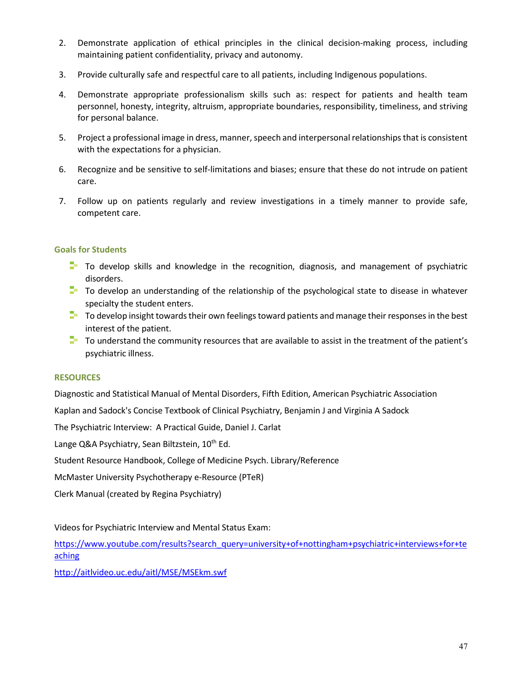- 2. Demonstrate application of ethical principles in the clinical decision-making process, including maintaining patient confidentiality, privacy and autonomy.
- 3. Provide culturally safe and respectful care to all patients, including Indigenous populations.
- 4. Demonstrate appropriate professionalism skills such as: respect for patients and health team personnel, honesty, integrity, altruism, appropriate boundaries, responsibility, timeliness, and striving for personal balance.
- 5. Project a professional image in dress, manner, speech and interpersonal relationships that is consistent with the expectations for a physician.
- 6. Recognize and be sensitive to self-limitations and biases; ensure that these do not intrude on patient care.
- 7. Follow up on patients regularly and review investigations in a timely manner to provide safe, competent care.

#### **Goals for Students**

- $\Box$  To develop skills and knowledge in the recognition, diagnosis, and management of psychiatric disorders.
- T To develop an understanding of the relationship of the psychological state to disease in whatever specialty the student enters.
- $\Box$  To develop insight towards their own feelings toward patients and manage their responses in the best interest of the patient.
- $\Box$  To understand the community resources that are available to assist in the treatment of the patient's psychiatric illness.

## **RESOURCES**

Diagnostic and Statistical Manual of Mental Disorders, Fifth Edition, American Psychiatric Association

Kaplan and Sadock's Concise Textbook of Clinical Psychiatry, Benjamin J and Virginia A Sadock

The Psychiatric Interview: A Practical Guide, Daniel J. Carlat

Lange Q&A Psychiatry, Sean Biltzstein, 10<sup>th</sup> Ed.

Student Resource Handbook, College of Medicine Psych. Library/Reference

McMaster University Psychotherapy e-Resource (PTeR)

Clerk Manual (created by Regina Psychiatry)

Videos for Psychiatric Interview and Mental Status Exam:

[https://www.youtube.com/results?search\\_query=university+of+nottingham+psychiatric+interviews+for+te](https://www.youtube.com/results?search_query=university+of+nottingham+psychiatric+interviews+for+teaching) [aching](https://www.youtube.com/results?search_query=university+of+nottingham+psychiatric+interviews+for+teaching)

<http://aitlvideo.uc.edu/aitl/MSE/MSEkm.swf>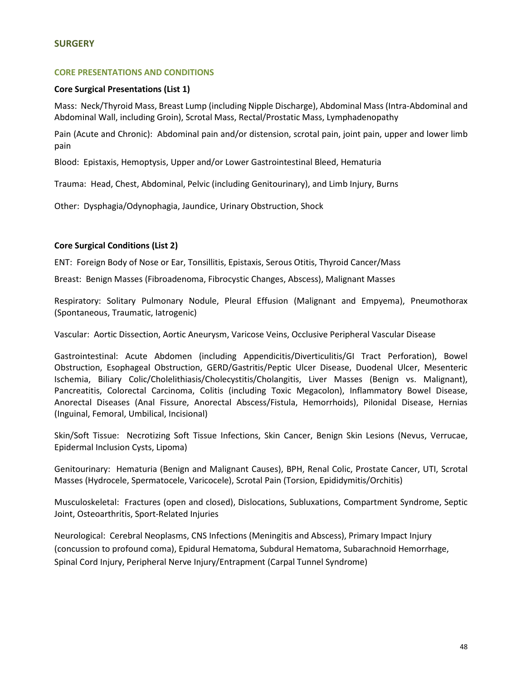#### **SURGERY**

#### **CORE PRESENTATIONS AND CONDITIONS**

#### **Core Surgical Presentations (List 1)**

Mass: Neck/Thyroid Mass, Breast Lump (including Nipple Discharge), Abdominal Mass (Intra-Abdominal and Abdominal Wall, including Groin), Scrotal Mass, Rectal/Prostatic Mass, Lymphadenopathy

Pain (Acute and Chronic): Abdominal pain and/or distension, scrotal pain, joint pain, upper and lower limb pain

Blood: Epistaxis, Hemoptysis, Upper and/or Lower Gastrointestinal Bleed, Hematuria

Trauma: Head, Chest, Abdominal, Pelvic (including Genitourinary), and Limb Injury, Burns

Other: Dysphagia/Odynophagia, Jaundice, Urinary Obstruction, Shock

## **Core Surgical Conditions (List 2)**

ENT: Foreign Body of Nose or Ear, Tonsillitis, Epistaxis, Serous Otitis, Thyroid Cancer/Mass

Breast: Benign Masses (Fibroadenoma, Fibrocystic Changes, Abscess), Malignant Masses

Respiratory: Solitary Pulmonary Nodule, Pleural Effusion (Malignant and Empyema), Pneumothorax (Spontaneous, Traumatic, Iatrogenic)

Vascular: Aortic Dissection, Aortic Aneurysm, Varicose Veins, Occlusive Peripheral Vascular Disease

Gastrointestinal: Acute Abdomen (including Appendicitis/Diverticulitis/GI Tract Perforation), Bowel Obstruction, Esophageal Obstruction, GERD/Gastritis/Peptic Ulcer Disease, Duodenal Ulcer, Mesenteric Ischemia, Biliary Colic/Cholelithiasis/Cholecystitis/Cholangitis, Liver Masses (Benign vs. Malignant), Pancreatitis, Colorectal Carcinoma, Colitis (including Toxic Megacolon), Inflammatory Bowel Disease, Anorectal Diseases (Anal Fissure, Anorectal Abscess/Fistula, Hemorrhoids), Pilonidal Disease, Hernias (Inguinal, Femoral, Umbilical, Incisional)

Skin/Soft Tissue: Necrotizing Soft Tissue Infections, Skin Cancer, Benign Skin Lesions (Nevus, Verrucae, Epidermal Inclusion Cysts, Lipoma)

Genitourinary: Hematuria (Benign and Malignant Causes), BPH, Renal Colic, Prostate Cancer, UTI, Scrotal Masses (Hydrocele, Spermatocele, Varicocele), Scrotal Pain (Torsion, Epididymitis/Orchitis)

Musculoskeletal: Fractures (open and closed), Dislocations, Subluxations, Compartment Syndrome, Septic Joint, Osteoarthritis, Sport-Related Injuries

Neurological:Cerebral Neoplasms, CNS Infections (Meningitis and Abscess), Primary Impact Injury (concussion to profound coma), Epidural Hematoma, Subdural Hematoma, Subarachnoid Hemorrhage, Spinal Cord Injury, Peripheral Nerve Injury/Entrapment (Carpal Tunnel Syndrome)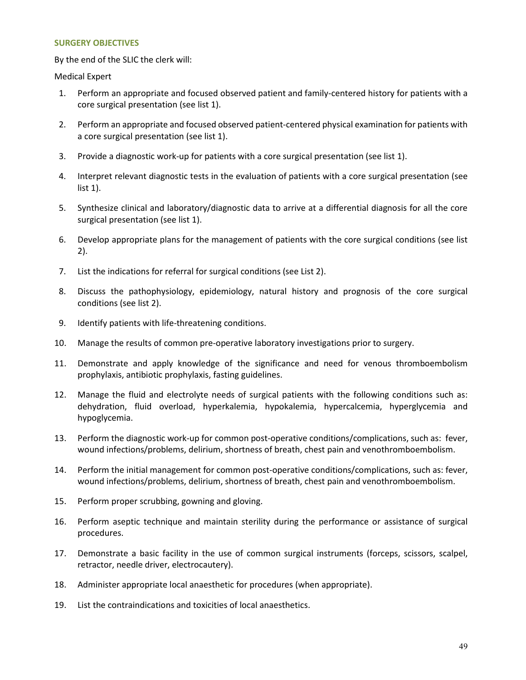#### **SURGERY OBJECTIVES**

By the end of the SLIC the clerk will:

Medical Expert

- 1. Perform an appropriate and focused observed patient and family-centered history for patients with a core surgical presentation (see list 1).
- 2. Perform an appropriate and focused observed patient-centered physical examination for patients with a core surgical presentation (see list 1).
- 3. Provide a diagnostic work-up for patients with a core surgical presentation (see list 1).
- 4. Interpret relevant diagnostic tests in the evaluation of patients with a core surgical presentation (see list 1).
- 5. Synthesize clinical and laboratory/diagnostic data to arrive at a differential diagnosis for all the core surgical presentation (see list 1).
- 6. Develop appropriate plans for the management of patients with the core surgical conditions (see list 2).
- 7. List the indications for referral for surgical conditions (see List 2).
- 8. Discuss the pathophysiology, epidemiology, natural history and prognosis of the core surgical conditions (see list 2).
- 9. Identify patients with life-threatening conditions.
- 10. Manage the results of common pre-operative laboratory investigations prior to surgery.
- 11. Demonstrate and apply knowledge of the significance and need for venous thromboembolism prophylaxis, antibiotic prophylaxis, fasting guidelines.
- 12. Manage the fluid and electrolyte needs of surgical patients with the following conditions such as: dehydration, fluid overload, hyperkalemia, hypokalemia, hypercalcemia, hyperglycemia and hypoglycemia.
- 13. Perform the diagnostic work-up for common post-operative conditions/complications, such as: fever, wound infections/problems, delirium, shortness of breath, chest pain and venothromboembolism.
- 14. Perform the initial management for common post-operative conditions/complications, such as: fever, wound infections/problems, delirium, shortness of breath, chest pain and venothromboembolism.
- 15. Perform proper scrubbing, gowning and gloving.
- 16. Perform aseptic technique and maintain sterility during the performance or assistance of surgical procedures.
- 17. Demonstrate a basic facility in the use of common surgical instruments (forceps, scissors, scalpel, retractor, needle driver, electrocautery).
- 18. Administer appropriate local anaesthetic for procedures (when appropriate).
- 19. List the contraindications and toxicities of local anaesthetics.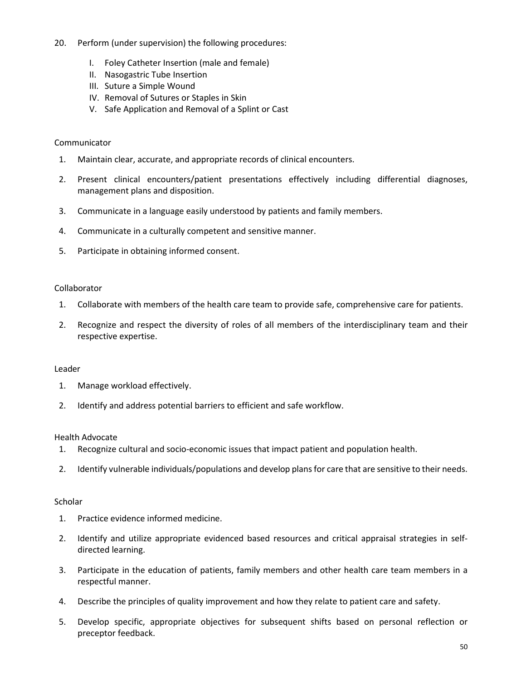- 20. Perform (under supervision) the following procedures:
	- I. Foley Catheter Insertion (male and female)
	- II. Nasogastric Tube Insertion
	- III. Suture a Simple Wound
	- IV. Removal of Sutures or Staples in Skin
	- V. Safe Application and Removal of a Splint or Cast

## Communicator

- 1. Maintain clear, accurate, and appropriate records of clinical encounters.
- 2. Present clinical encounters/patient presentations effectively including differential diagnoses, management plans and disposition.
- 3. Communicate in a language easily understood by patients and family members.
- 4. Communicate in a culturally competent and sensitive manner.
- 5. Participate in obtaining informed consent.

#### Collaborator

- 1. Collaborate with members of the health care team to provide safe, comprehensive care for patients.
- 2. Recognize and respect the diversity of roles of all members of the interdisciplinary team and their respective expertise.

#### Leader

- 1. Manage workload effectively.
- 2. Identify and address potential barriers to efficient and safe workflow.

#### Health Advocate

- 1. Recognize cultural and socio-economic issues that impact patient and population health.
- 2. Identify vulnerable individuals/populations and develop plans for care that are sensitive to their needs.

#### **Scholar**

- 1. Practice evidence informed medicine.
- 2. Identify and utilize appropriate evidenced based resources and critical appraisal strategies in selfdirected learning.
- 3. Participate in the education of patients, family members and other health care team members in a respectful manner.
- 4. Describe the principles of quality improvement and how they relate to patient care and safety.
- 5. Develop specific, appropriate objectives for subsequent shifts based on personal reflection or preceptor feedback.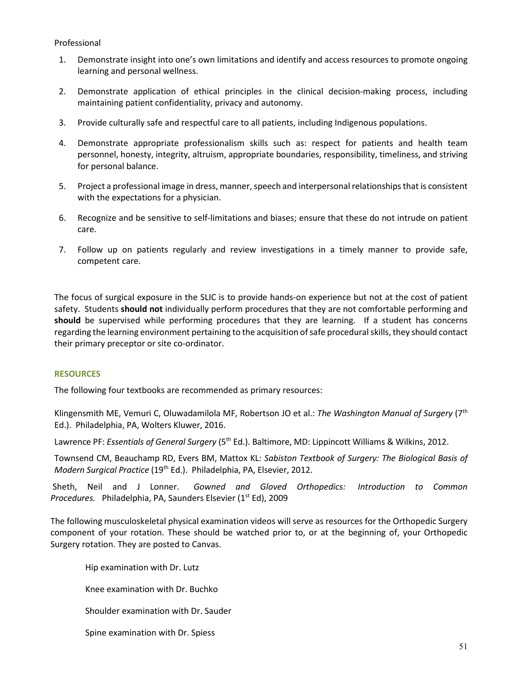## Professional

- 1. Demonstrate insight into one's own limitations and identify and access resources to promote ongoing learning and personal wellness.
- 2. Demonstrate application of ethical principles in the clinical decision-making process, including maintaining patient confidentiality, privacy and autonomy.
- 3. Provide culturally safe and respectful care to all patients, including Indigenous populations.
- 4. Demonstrate appropriate professionalism skills such as: respect for patients and health team personnel, honesty, integrity, altruism, appropriate boundaries, responsibility, timeliness, and striving for personal balance.
- 5. Project a professional image in dress, manner, speech and interpersonal relationships that is consistent with the expectations for a physician.
- 6. Recognize and be sensitive to self-limitations and biases; ensure that these do not intrude on patient care.
- 7. Follow up on patients regularly and review investigations in a timely manner to provide safe, competent care.

The focus of surgical exposure in the SLIC is to provide hands-on experience but not at the cost of patient safety. Students **should not** individually perform procedures that they are not comfortable performing and **should** be supervised while performing procedures that they are learning. If a student has concerns regarding the learning environment pertaining to the acquisition of safe procedural skills, they should contact their primary preceptor or site co-ordinator.

## **RESOURCES**

The following four textbooks are recommended as primary resources:

Klingensmith ME, Vemuri C, Oluwadamilola MF, Robertson JO et al.: *The Washington Manual of Surgery* (7th Ed.). Philadelphia, PA, Wolters Kluwer, 2016.

Lawrence PF: *Essentials of General Surgery* (5th Ed.). Baltimore, MD: Lippincott Williams & Wilkins, 2012.

Townsend CM, Beauchamp RD, Evers BM, Mattox KL: *Sabiston Textbook of Surgery: The Biological Basis of Modern Surgical Practice* (19th Ed.). Philadelphia, PA, Elsevier, 2012.

 Sheth, Neil and J Lonner. *Gowned and Gloved Orthopedics: Introduction to Common*  Procedures. Philadelphia, PA, Saunders Elsevier (1<sup>st</sup> Ed), 2009

The following musculoskeletal physical examination videos will serve as resources for the Orthopedic Surgery component of your rotation. These should be watched prior to, or at the beginning of, your Orthopedic Surgery rotation. They are posted to Canvas.

Hip examination with Dr. Lutz

Knee examination with Dr. Buchko

Shoulder examination with Dr. Sauder

Spine examination with Dr. Spiess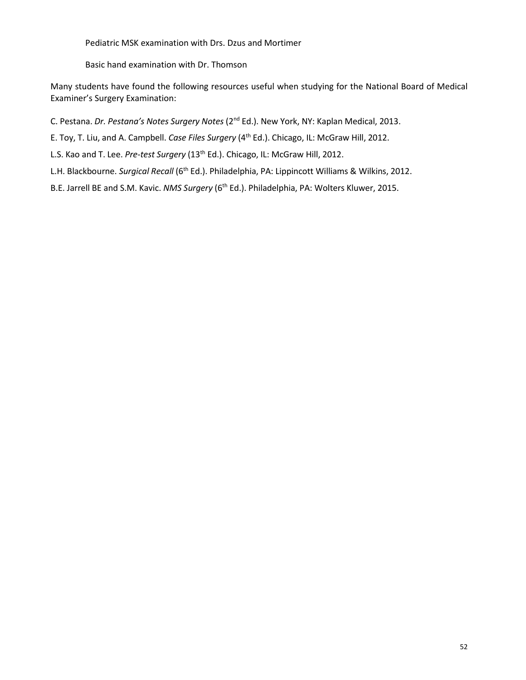Pediatric MSK examination with Drs. Dzus and Mortimer

Basic hand examination with Dr. Thomson

Many students have found the following resources useful when studying for the National Board of Medical Examiner's Surgery Examination:

C. Pestana. *Dr. Pestana's Notes Surgery Notes* (2nd Ed.). New York, NY: Kaplan Medical, 2013.

E. Toy, T. Liu, and A. Campbell. *Case Files Surgery* (4th Ed.). Chicago, IL: McGraw Hill, 2012.

L.S. Kao and T. Lee. Pre-test Surgery (13<sup>th</sup> Ed.). Chicago, IL: McGraw Hill, 2012.

L.H. Blackbourne. *Surgical Recall* (6<sup>th</sup> Ed.). Philadelphia, PA: Lippincott Williams & Wilkins, 2012.

B.E. Jarrell BE and S.M. Kavic. *NMS Surgery* (6th Ed.). Philadelphia, PA: Wolters Kluwer, 2015.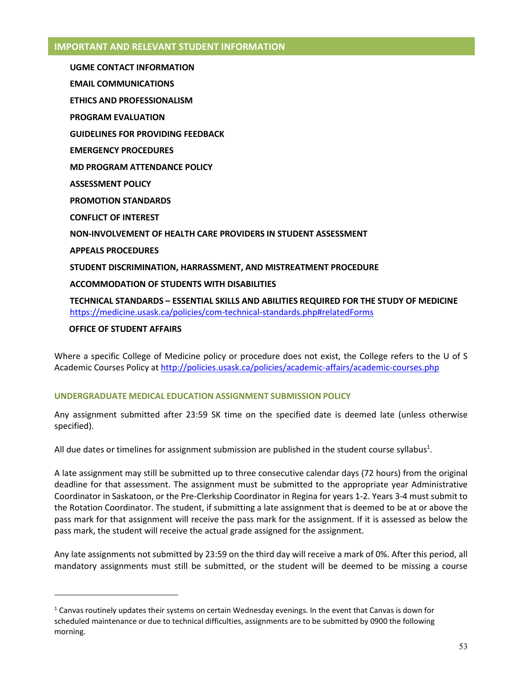## **IMPORTANT AND RELEVANT STUDENT INFORMATION**

**UGME CONTACT INFORMATION EMAIL COMMUNICATIONS ETHICS AND PROFESSIONALISM PROGRAM EVALUATION GUIDELINES FOR PROVIDING FEEDBACK\ EMERGENCY PROCEDURES MD PROGRAM ATTENDANCE POLICY ASSESSMENT POLICY PROMOTION STANDARDS CONFLICT OF INTEREST NON-INVOLVEMENT OF HEALTH CARE PROVIDERS IN STUDENT ASSESSMENT APPEALS PROCEDURES STUDENT DISCRIMINATION, HARRASSMENT, AND MISTREATMENT PROCEDURE ACCOMMODATION OF STUDENTS WITH DISABILITIES TECHNICAL STANDARDS – ESSENTIAL SKILLS AND ABILITIES REQUIRED FOR THE STUDY OF MEDICINE** <https://medicine.usask.ca/policies/com-technical-standards.php#relatedForms>

#### **OFFICE OF STUDENT AFFAIRS**

1

Where a specific College of Medicine policy or procedure does not exist, the College refers to the U of S Academic Courses Policy at<http://policies.usask.ca/policies/academic-affairs/academic-courses.php>

#### **UNDERGRADUATE MEDICAL EDUCATION ASSIGNMENT SUBMISSION POLICY**

Any assignment submitted after 23:59 SK time on the specified date is deemed late (unless otherwise specified).

All due dates or timelines for assignment submission are published in the student course syllabus<sup>1</sup>.

A late assignment may still be submitted up to three consecutive calendar days (72 hours) from the original deadline for that assessment. The assignment must be submitted to the appropriate year Administrative Coordinator in Saskatoon, or the Pre-Clerkship Coordinator in Regina for years 1-2. Years 3-4 must submit to the Rotation Coordinator. The student, if submitting a late assignment that is deemed to be at or above the pass mark for that assignment will receive the pass mark for the assignment. If it is assessed as below the pass mark, the student will receive the actual grade assigned for the assignment.

Any late assignments not submitted by 23:59 on the third day will receive a mark of 0%. After this period, all mandatory assignments must still be submitted, or the student will be deemed to be missing a course

<sup>&</sup>lt;sup>1</sup> Canvas routinely updates their systems on certain Wednesday evenings. In the event that Canvas is down for scheduled maintenance or due to technical difficulties, assignments are to be submitted by 0900 the following morning.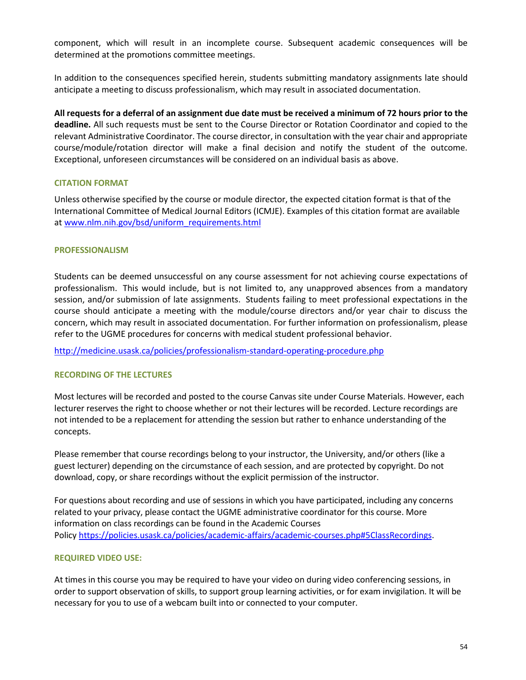component, which will result in an incomplete course. Subsequent academic consequences will be determined at the promotions committee meetings.

In addition to the consequences specified herein, students submitting mandatory assignments late should anticipate a meeting to discuss professionalism, which may result in associated documentation.

**All requests for a deferral of an assignment due date must be received a minimum of 72 hours prior to the deadline.** All such requests must be sent to the Course Director or Rotation Coordinator and copied to the relevant Administrative Coordinator. The course director, in consultation with the year chair and appropriate course/module/rotation director will make a final decision and notify the student of the outcome. Exceptional, unforeseen circumstances will be considered on an individual basis as above.

#### **CITATION FORMAT**

Unless otherwise specified by the course or module director, the expected citation format is that of the International Committee of Medical Journal Editors (ICMJE). Examples of this citation format are available at [www.nlm.nih.gov/bsd/uniform\\_requirements.html](http://www.nlm.nih.gov/bsd/uniform_requirements.html)

#### **PROFESSIONALISM**

Students can be deemed unsuccessful on any course assessment for not achieving course expectations of professionalism. This would include, but is not limited to, any unapproved absences from a mandatory session, and/or submission of late assignments. Students failing to meet professional expectations in the course should anticipate a meeting with the module/course directors and/or year chair to discuss the concern, which may result in associated documentation. For further information on professionalism, please refer to the UGME procedures for concerns with medical student professional behavior.

<http://medicine.usask.ca/policies/professionalism-standard-operating-procedure.php>

#### **RECORDING OF THE LECTURES**

Most lectures will be recorded and posted to the course Canvas site under Course Materials. However, each lecturer reserves the right to choose whether or not their lectures will be recorded. Lecture recordings are not intended to be a replacement for attending the session but rather to enhance understanding of the concepts.

Please remember that course recordings belong to your instructor, the University, and/or others (like a guest lecturer) depending on the circumstance of each session, and are protected by copyright. Do not download, copy, or share recordings without the explicit permission of the instructor.

For questions about recording and use of sessions in which you have participated, including any concerns related to your privacy, please contact the UGME administrative coordinator for this course. More information on class recordings can be found in the Academic Courses Polic[y https://policies.usask.ca/policies/academic-affairs/academic-courses.php#5ClassRecordings.](https://policies.usask.ca/policies/academic-affairs/academic-courses.php#5ClassRecordings)

#### **REQUIRED VIDEO USE:**

At times in this course you may be required to have your video on during video conferencing sessions, in order to support observation of skills, to support group learning activities, or for exam invigilation. It will be necessary for you to use of a webcam built into or connected to your computer.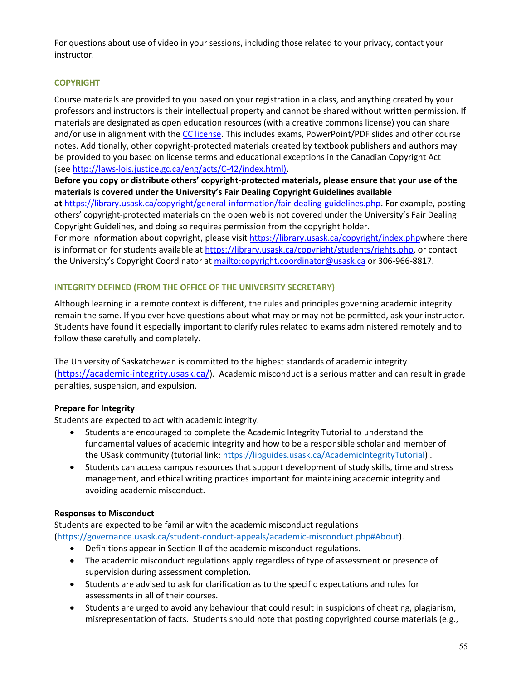For questions about use of video in your sessions, including those related to your privacy, contact your instructor.

# **COPYRIGHT**

Course materials are provided to you based on your registration in a class, and anything created by your professors and instructors is their intellectual property and cannot be shared without written permission. If materials are designated as open education resources (with a creative commons license) you can share and/or use in alignment with th[e CC license.](https://openpress.usask.ca/authoring/chapter/creative-commons-licenses/) This includes exams, PowerPoint/PDF slides and other course notes. Additionally, other copyright-protected materials created by textbook publishers and authors may be provided to you based on license terms and educational exceptions in the Canadian Copyright Act (se[e http://laws-lois.justice.gc.ca/eng/acts/C-42/index.html\).](http://laws-lois.justice.gc.ca/eng/acts/C-42/index.html)

**Before you copy or distribute others' copyright-protected materials, please ensure that your use of the materials is covered under the University's Fair Dealing Copyright Guidelines available** 

**at** [https://library.usask.ca/copyright/general-information/fair-dealing-guidelines.php.](https://library.usask.ca/copyright/general-information/fair-dealing-guidelines.php) For example, posting others' copyright-protected materials on the open web is not covered under the University's Fair Dealing Copyright Guidelines, and doing so requires permission from the copyright holder.

For more information about copyright, please visi[t https://library.usask.ca/copyright/index.phpw](https://library.usask.ca/copyright/index.php)here there is information for students available a[t https://library.usask.ca/copyright/students/rights.php,](https://library.usask.ca/copyright/students/rights.php) or contact the University's Copyright Coordinator at<mailto:copyright.coordinator@usask.ca>or 306-966-8817.

# **INTEGRITY DEFINED (FROM THE OFFICE OF THE UNIVERSITY SECRETARY)**

Although learning in a remote context is different, the rules and principles governing academic integrity remain the same. If you ever have questions about what may or may not be permitted, ask your instructor. Students have found it especially important to clarify rules related to exams administered remotely and to follow these carefully and completely.

The University of Saskatchewan is committed to the highest standards of academic integrity (<https://academic-integrity.usask.ca/>). Academic misconduct is a serious matter and can result in grade penalties, suspension, and expulsion.

## **Prepare for Integrity**

Students are expected to act with academic integrity.

- Students are encouraged to complete the Academic Integrity Tutorial to understand the fundamental values of academic integrity and how to be a responsible scholar and member of the USask community (tutorial link: [https://libguides.usask.ca/AcademicIntegrityTutorial\)](https://libguides.usask.ca/AcademicIntegrityTutorial) .
- Students can access campus resources that support development of study skills, time and stress management, and ethical writing practices important for maintaining academic integrity and avoiding academic misconduct.

## **Responses to Misconduct**

Students are expected to be familiar with the academic misconduct regulations [\(https://governance.usask.ca/student-conduct-appeals/academic-misconduct.php#About\)](https://governance.usask.ca/student-conduct-appeals/academic-misconduct.php#About).

- Definitions appear in Section II of the academic misconduct regulations.
- The academic misconduct regulations apply regardless of type of assessment or presence of supervision during assessment completion.
- Students are advised to ask for clarification as to the specific expectations and rules for assessments in all of their courses.
- Students are urged to avoid any behaviour that could result in suspicions of cheating, plagiarism, misrepresentation of facts. Students should note that posting copyrighted course materials (e.g.,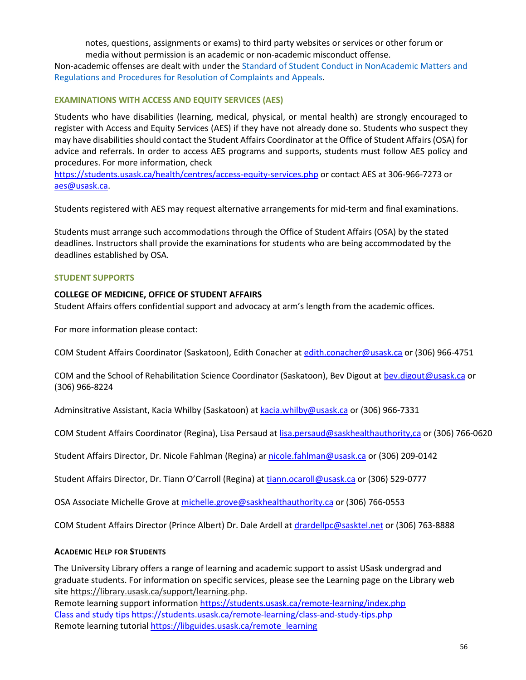notes, questions, assignments or exams) to third party websites or services or other forum or media without permission is an academic or non-academic misconduct offense.

Non-academic offenses are dealt with under the [Standard of Student Conduct in NonAcademic Matters and](https://governance.usask.ca/student-conduct-appeals/non-academic-misconduct.php)  [Regulations and Procedures for Resolution of Complaints and Appeals.](https://governance.usask.ca/student-conduct-appeals/non-academic-misconduct.php)

## **EXAMINATIONS WITH ACCESS AND EQUITY SERVICES (AES)**

Students who have disabilities (learning, medical, physical, or mental health) are strongly encouraged to register with Access and Equity Services (AES) if they have not already done so. Students who suspect they may have disabilities should contact the Student Affairs Coordinator at the Office of Student Affairs (OSA) for advice and referrals. In order to access AES programs and supports, students must follow AES policy and procedures. For more information, check

<https://students.usask.ca/health/centres/access-equity-services.php>or contact AES at 306-966-7273 or aes@usask.ca.

Students registered with AES may request alternative arrangements for mid-term and final examinations.

Students must arrange such accommodations through the Office of Student Affairs (OSA) by the stated deadlines. Instructors shall provide the examinations for students who are being accommodated by the deadlines established by OSA.

## **STUDENT SUPPORTS**

## **COLLEGE OF MEDICINE, OFFICE OF STUDENT AFFAIRS**

Student Affairs offers confidential support and advocacy at arm's length from the academic offices.

For more information please contact:

COM Student Affairs Coordinator (Saskatoon), Edith Conacher at [edith.conacher@usask.ca o](mailto:edith.conacher@usask.ca)r (306) 966-4751

COM and the School of Rehabilitation Science Coordinator (Saskatoon), Bev Digout at [bev.digout@usask.ca](mailto:bev.digout@usask.ca) or (306) 966-8224

Adminsitrative Assistant, Kacia Whilby (Saskatoon) at [kacia.whilby@usask.ca](mailto:chelsea.malkowich@usask.ca) or (306) 966-7331

COM Student Affairs Coordinator (Regina), Lisa Persaud at [lisa.persaud@saskhealthauthority,ca o](mailto:lisa.persaud@saskhealthauthority,ca)r (306) 766-0620

Student Affairs Director, Dr. Nicole Fahlman (Regina) a[r nicole.fahlman@usask.ca](mailto:nicole.fahlman@usask.ca) or (306) 209-0142

Student Affairs Director, Dr. Tiann O'Carroll (Regina) at [tiann.ocaroll@usask.ca](mailto:tiann.ocaroll@usask.ca) or (306) 529-0777

OSA Associate Michelle Grove at [michelle.grove@saskhealthauthority.ca](mailto:michelle.grove@saskhealthauthority.ca) or (306) 766-0553

COM Student Affairs Director (Prince Albert) Dr. Dale Ardell a[t drardellpc@sasktel.net o](mailto:drardellpc@sasktel.net)r (306) 763-8888

#### **ACADEMIC HELP FOR STUDENTS**

The University Library offers a range of learning and academic support to assist USask undergrad and graduate students. For information on specific services, please see the Learning page on the Library web site [https://library.usask.ca/support/learning.php.](https://library.usask.ca/support/learning.php)

Remote learning support information<https://students.usask.ca/remote-learning/index.php> Class and study tips<https://students.usask.ca/remote-learning/class-and-study-tips.php> Remote learning tutorial https://libguides.usask.ca/remote learning